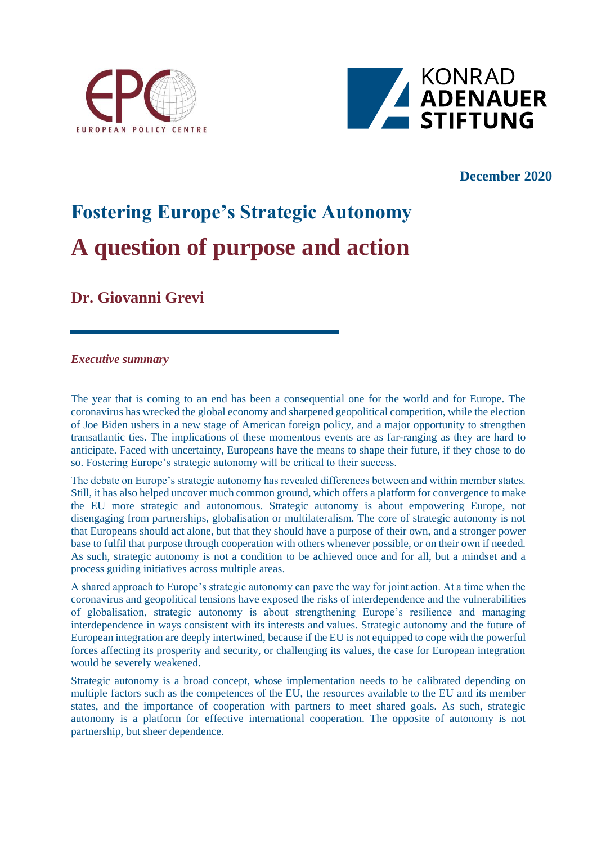



# **December 2020**

# **Fostering Europe's Strategic Autonomy A question of purpose and action**

**Dr. Giovanni Grevi**

#### *Executive summary*

The year that is coming to an end has been a consequential one for the world and for Europe. The coronavirus has wrecked the global economy and sharpened geopolitical competition, while the election of Joe Biden ushers in a new stage of American foreign policy, and a major opportunity to strengthen transatlantic ties. The implications of these momentous events are as far-ranging as they are hard to anticipate. Faced with uncertainty, Europeans have the means to shape their future, if they chose to do so. Fostering Europe's strategic autonomy will be critical to their success.

The debate on Europe's strategic autonomy has revealed differences between and within member states. Still, it has also helped uncover much common ground, which offers a platform for convergence to make the EU more strategic and autonomous. Strategic autonomy is about empowering Europe, not disengaging from partnerships, globalisation or multilateralism. The core of strategic autonomy is not that Europeans should act alone, but that they should have a purpose of their own, and a stronger power base to fulfil that purpose through cooperation with others whenever possible, or on their own if needed. As such, strategic autonomy is not a condition to be achieved once and for all, but a mindset and a process guiding initiatives across multiple areas.

A shared approach to Europe's strategic autonomy can pave the way for joint action. At a time when the coronavirus and geopolitical tensions have exposed the risks of interdependence and the vulnerabilities of globalisation, strategic autonomy is about strengthening Europe's resilience and managing interdependence in ways consistent with its interests and values. Strategic autonomy and the future of European integration are deeply intertwined, because if the EU is not equipped to cope with the powerful forces affecting its prosperity and security, or challenging its values, the case for European integration would be severely weakened.

Strategic autonomy is a broad concept, whose implementation needs to be calibrated depending on multiple factors such as the competences of the EU, the resources available to the EU and its member states, and the importance of cooperation with partners to meet shared goals. As such, strategic autonomy is a platform for effective international cooperation. The opposite of autonomy is not partnership, but sheer dependence.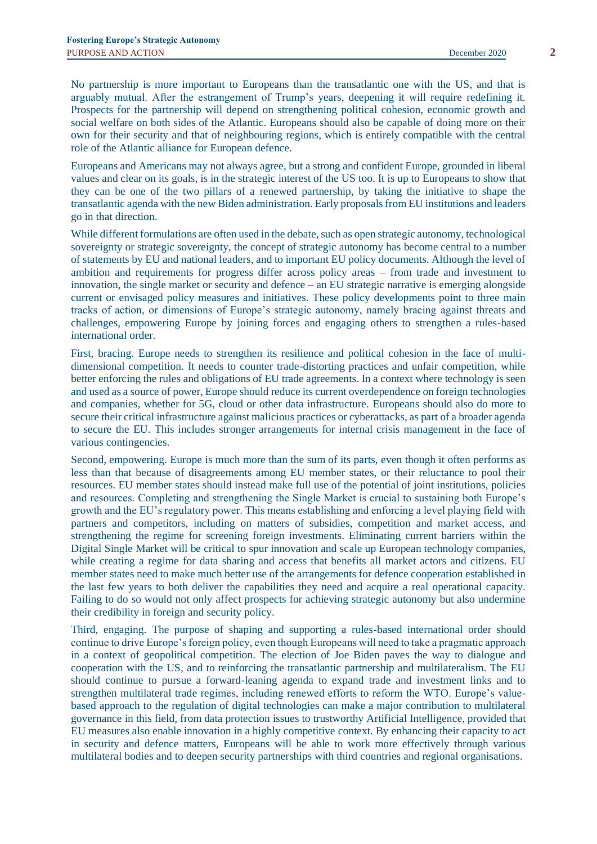No partnership is more important to Europeans than the transatlantic one with the US, and that is arguably mutual. After the estrangement of Trump's years, deepening it will require redefining it. Prospects for the partnership will depend on strengthening political cohesion, economic growth and social welfare on both sides of the Atlantic. Europeans should also be capable of doing more on their own for their security and that of neighbouring regions, which is entirely compatible with the central role of the Atlantic alliance for European defence.

Europeans and Americans may not always agree, but a strong and confident Europe, grounded in liberal values and clear on its goals, is in the strategic interest of the US too. It is up to Europeans to show that they can be one of the two pillars of a renewed partnership, by taking the initiative to shape the transatlantic agenda with the new Biden administration. Early proposals from EU institutions and leaders go in that direction.

While different formulations are often used in the debate, such as open strategic autonomy, technological sovereignty or strategic sovereignty, the concept of strategic autonomy has become central to a number of statements by EU and national leaders, and to important EU policy documents. Although the level of ambition and requirements for progress differ across policy areas – from trade and investment to innovation, the single market or security and defence – an EU strategic narrative is emerging alongside current or envisaged policy measures and initiatives. These policy developments point to three main tracks of action, or dimensions of Europe's strategic autonomy, namely bracing against threats and challenges, empowering Europe by joining forces and engaging others to strengthen a rules-based international order.

First, bracing. Europe needs to strengthen its resilience and political cohesion in the face of multidimensional competition. It needs to counter trade-distorting practices and unfair competition, while better enforcing the rules and obligations of EU trade agreements. In a context where technology is seen and used as a source of power, Europe should reduce its current overdependence on foreign technologies and companies, whether for 5G, cloud or other data infrastructure. Europeans should also do more to secure their critical infrastructure against malicious practices or cyberattacks, as part of a broader agenda to secure the EU. This includes stronger arrangements for internal crisis management in the face of various contingencies.

Second, empowering. Europe is much more than the sum of its parts, even though it often performs as less than that because of disagreements among EU member states, or their reluctance to pool their resources. EU member states should instead make full use of the potential of joint institutions, policies and resources. Completing and strengthening the Single Market is crucial to sustaining both Europe's growth and the EU's regulatory power. This means establishing and enforcing a level playing field with partners and competitors, including on matters of subsidies, competition and market access, and strengthening the regime for screening foreign investments. Eliminating current barriers within the Digital Single Market will be critical to spur innovation and scale up European technology companies, while creating a regime for data sharing and access that benefits all market actors and citizens. EU member states need to make much better use of the arrangements for defence cooperation established in the last few years to both deliver the capabilities they need and acquire a real operational capacity. Failing to do so would not only affect prospects for achieving strategic autonomy but also undermine their credibility in foreign and security policy.

Third, engaging. The purpose of shaping and supporting a rules-based international order should continue to drive Europe's foreign policy, even though Europeans will need to take a pragmatic approach in a context of geopolitical competition. The election of Joe Biden paves the way to dialogue and cooperation with the US, and to reinforcing the transatlantic partnership and multilateralism. The EU should continue to pursue a forward-leaning agenda to expand trade and investment links and to strengthen multilateral trade regimes, including renewed efforts to reform the WTO. Europe's valuebased approach to the regulation of digital technologies can make a major contribution to multilateral governance in this field, from data protection issues to trustworthy Artificial Intelligence, provided that EU measures also enable innovation in a highly competitive context. By enhancing their capacity to act in security and defence matters, Europeans will be able to work more effectively through various multilateral bodies and to deepen security partnerships with third countries and regional organisations.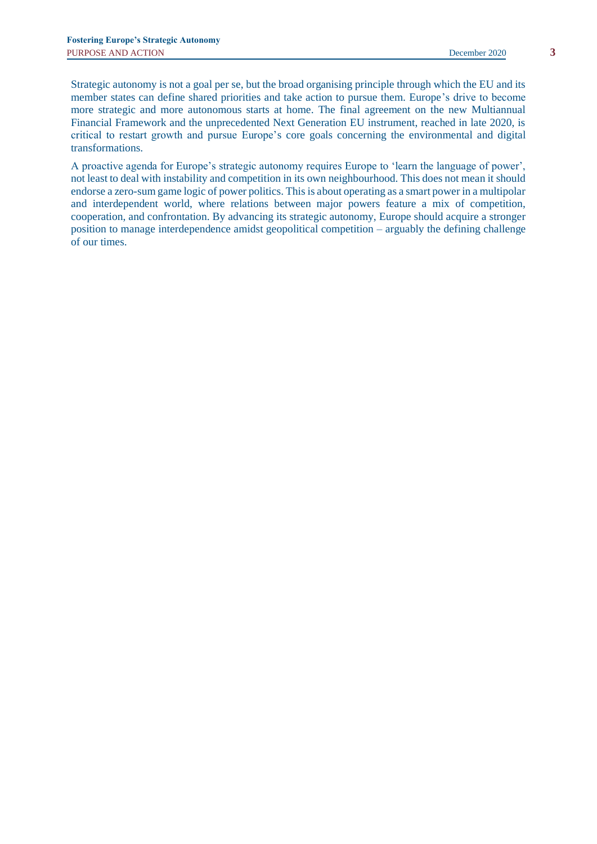Strategic autonomy is not a goal per se, but the broad organising principle through which the EU and its member states can define shared priorities and take action to pursue them. Europe's drive to become more strategic and more autonomous starts at home. The final agreement on the new Multiannual Financial Framework and the unprecedented Next Generation EU instrument, reached in late 2020, is critical to restart growth and pursue Europe's core goals concerning the environmental and digital transformations.

A proactive agenda for Europe's strategic autonomy requires Europe to 'learn the language of power', not least to deal with instability and competition in its own neighbourhood. This does not mean it should endorse a zero-sum game logic of power politics. This is about operating as a smart power in a multipolar and interdependent world, where relations between major powers feature a mix of competition, cooperation, and confrontation. By advancing its strategic autonomy, Europe should acquire a stronger position to manage interdependence amidst geopolitical competition – arguably the defining challenge of our times.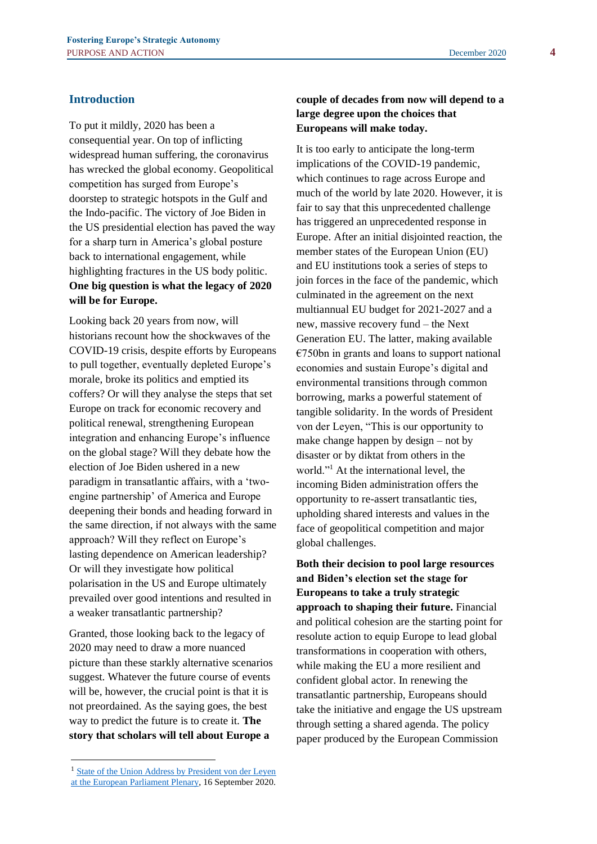## **Introduction**

To put it mildly, 2020 has been a consequential year. On top of inflicting widespread human suffering, the coronavirus has wrecked the global economy. Geopolitical competition has surged from Europe's doorstep to strategic hotspots in the Gulf and the Indo-pacific. The victory of Joe Biden in the US presidential election has paved the way for a sharp turn in America's global posture back to international engagement, while highlighting fractures in the US body politic. **One big question is what the legacy of 2020 will be for Europe.**

Looking back 20 years from now, will historians recount how the shockwaves of the COVID-19 crisis, despite efforts by Europeans to pull together, eventually depleted Europe's morale, broke its politics and emptied its coffers? Or will they analyse the steps that set Europe on track for economic recovery and political renewal, strengthening European integration and enhancing Europe's influence on the global stage? Will they debate how the election of Joe Biden ushered in a new paradigm in transatlantic affairs, with a 'twoengine partnership' of America and Europe deepening their bonds and heading forward in the same direction, if not always with the same approach? Will they reflect on Europe's lasting dependence on American leadership? Or will they investigate how political polarisation in the US and Europe ultimately prevailed over good intentions and resulted in a weaker transatlantic partnership?

Granted, those looking back to the legacy of 2020 may need to draw a more nuanced picture than these starkly alternative scenarios suggest. Whatever the future course of events will be, however, the crucial point is that it is not preordained. As the saying goes, the best way to predict the future is to create it. **The story that scholars will tell about Europe a** 

# **couple of decades from now will depend to a large degree upon the choices that Europeans will make today.**

It is too early to anticipate the long-term implications of the COVID-19 pandemic, which continues to rage across Europe and much of the world by late 2020. However, it is fair to say that this unprecedented challenge has triggered an unprecedented response in Europe. After an initial disjointed reaction, the member states of the European Union (EU) and EU institutions took a series of steps to join forces in the face of the pandemic, which culminated in the agreement on the next multiannual EU budget for 2021-2027 and a new, massive recovery fund – the Next Generation EU. The latter, making available  $€750$ bn in grants and loans to support national economies and sustain Europe's digital and environmental transitions through common borrowing, marks a powerful statement of tangible solidarity. In the words of President von der Leyen, "This is our opportunity to make change happen by design – not by disaster or by diktat from others in the world."<sup>1</sup> At the international level, the incoming Biden administration offers the opportunity to re-assert transatlantic ties, upholding shared interests and values in the face of geopolitical competition and major global challenges.

**Both their decision to pool large resources and Biden's election set the stage for Europeans to take a truly strategic approach to shaping their future.** Financial and political cohesion are the starting point for resolute action to equip Europe to lead global transformations in cooperation with others, while making the EU a more resilient and confident global actor. In renewing the transatlantic partnership, Europeans should take the initiative and engage the US upstream through setting a shared agenda. The policy paper produced by the European Commission

<sup>&</sup>lt;sup>1</sup> State of the Union Address by President von der Leyen [at the European Parliament Plenary,](https://ec.europa.eu/commission/presscorner/detail/en/SPEECH_20_1655) 16 September 2020.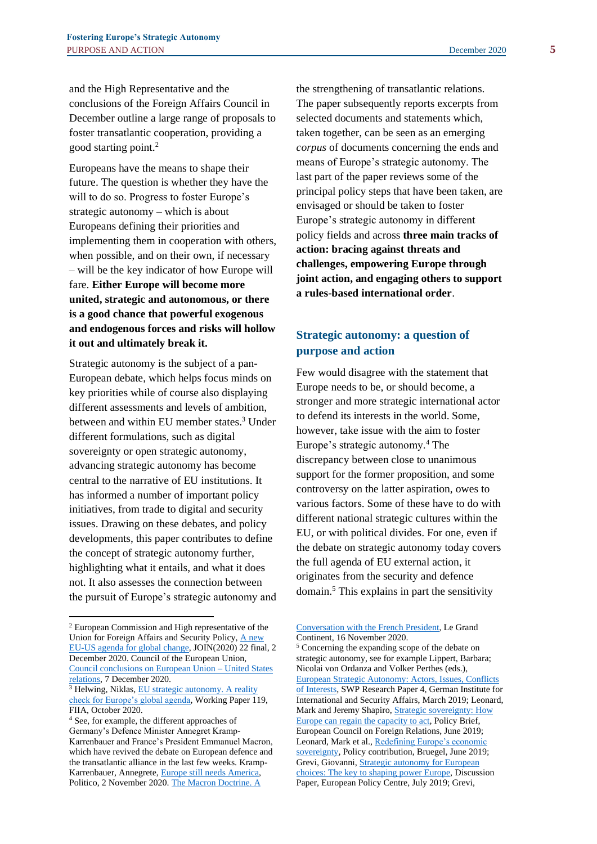and the High Representative and the conclusions of the Foreign Affairs Council in December outline a large range of proposals to foster transatlantic cooperation, providing a good starting point.<sup>2</sup>

Europeans have the means to shape their future. The question is whether they have the will to do so. Progress to foster Europe's strategic autonomy – which is about Europeans defining their priorities and implementing them in cooperation with others, when possible, and on their own, if necessary – will be the key indicator of how Europe will fare. **Either Europe will become more united, strategic and autonomous, or there is a good chance that powerful exogenous and endogenous forces and risks will hollow it out and ultimately break it.** 

Strategic autonomy is the subject of a pan-European debate, which helps focus minds on key priorities while of course also displaying different assessments and levels of ambition, between and within EU member states.<sup>3</sup> Under different formulations, such as digital sovereignty or open strategic autonomy, advancing strategic autonomy has become central to the narrative of EU institutions. It has informed a number of important policy initiatives, from trade to digital and security issues. Drawing on these debates, and policy developments, this paper contributes to define the concept of strategic autonomy further, highlighting what it entails, and what it does not. It also assesses the connection between the pursuit of Europe's strategic autonomy and the strengthening of transatlantic relations. The paper subsequently reports excerpts from selected documents and statements which, taken together, can be seen as an emerging *corpus* of documents concerning the ends and means of Europe's strategic autonomy. The last part of the paper reviews some of the principal policy steps that have been taken, are envisaged or should be taken to foster Europe's strategic autonomy in different policy fields and across **three main tracks of action: bracing against threats and challenges, empowering Europe through joint action, and engaging others to support a rules-based international order**.

# **Strategic autonomy: a question of purpose and action**

Few would disagree with the statement that Europe needs to be, or should become, a stronger and more strategic international actor to defend its interests in the world. Some, however, take issue with the aim to foster Europe's strategic autonomy.<sup>4</sup> The discrepancy between close to unanimous support for the former proposition, and some controversy on the latter aspiration, owes to various factors. Some of these have to do with different national strategic cultures within the EU, or with political divides. For one, even if the debate on strategic autonomy today covers the full agenda of EU external action, it originates from the security and defence domain.<sup>5</sup> This explains in part the sensitivity

<sup>2</sup> European Commission and High representative of the Union for Foreign Affairs and Security Policy, A new [EU-US agenda for global change,](https://ec.europa.eu/info/sites/info/files/joint-communication-eu-us-agenda_en.pdf) JOIN(2020) 22 final, 2 December 2020. Council of the European Union, [Council conclusions on European Union –](https://www.consilium.europa.eu/en/press/press-releases/2020/12/07/council-conclusions-on-european-union-united-states-relations/) United States [relations,](https://www.consilium.europa.eu/en/press/press-releases/2020/12/07/council-conclusions-on-european-union-united-states-relations/) 7 December 2020.

<sup>&</sup>lt;sup>3</sup> Helwing, Niklas, EU strategic autonomy. A reality [check for Europe's global agenda,](https://www.fiia.fi/en/publication/eu-strategic-autonomy) Working Paper 119, FIIA, October 2020.

<sup>4</sup> See, for example, the different approaches of Germany's Defence Minister Annegret Kramp-Karrenbauer and France's President Emmanuel Macron, which have revived the debate on European defence and the transatlantic alliance in the last few weeks. Kramp-Karrenbauer, Annegrete[, Europe still needs America,](https://www.politico.eu/article/europe-still-needs-america/) Politico, 2 November 2020. [The Macron Doctrine. A](https://legrandcontinent.eu/fr/2020/11/16/macron/) 

Conversation with [the French President,](https://legrandcontinent.eu/fr/2020/11/16/macron/) Le Grand Continent, 16 November 2020.

<sup>5</sup> Concerning the expanding scope of the debate on strategic autonomy, see for example Lippert, Barbara; Nicolai von Ordanza and Volker Perthes (eds.), [European Strategic Autonomy: Actors, Issues, Conflicts](https://www.swp-berlin.org/fileadmin/contents/products/research_papers/2019RP04_lpt_orz_prt_web.pdf)  [of Interests,](https://www.swp-berlin.org/fileadmin/contents/products/research_papers/2019RP04_lpt_orz_prt_web.pdf) SWP Research Paper 4, German Institute for International and Security Affairs, March 2019; Leonard, Mark and Jeremy Shapiro, **Strategic sovereignty: How** [Europe can regain the capacity to act,](https://ecfr.eu/wp-content/uploads/1_Empowering_EU_member_states_with_strategic_sovereignty.pdf) Policy Brief, European Council on Foreign Relations, June 2019; Leonard, Mark et al.[, Redefining Europe's economic](https://www.bruegel.org/2019/06/redefining-europes-economic-sovereignty/)  [sovereignty,](https://www.bruegel.org/2019/06/redefining-europes-economic-sovereignty/) Policy contribution, Bruegel, June 2019; Grevi, Giovanni[, Strategic autonomy for European](https://wms.flexious.be/editor/plugins/imagemanager/content/2140/PDF/2019/190719_Strategicautonomy_GG.pdf)  [choices: The key to shaping power Europe,](https://wms.flexious.be/editor/plugins/imagemanager/content/2140/PDF/2019/190719_Strategicautonomy_GG.pdf) Discussion Paper, European Policy Centre, July 2019; Grevi,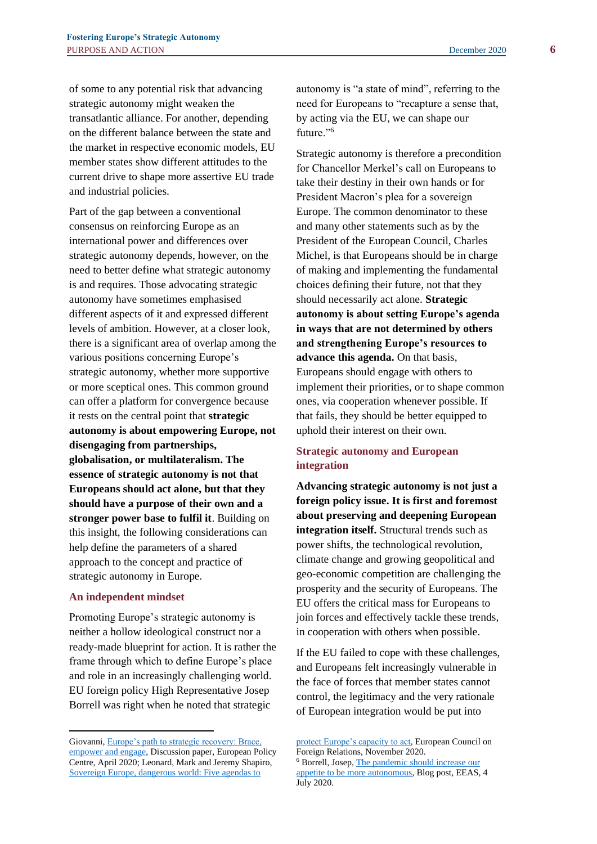of some to any potential risk that advancing strategic autonomy might weaken the transatlantic alliance. For another, depending on the different balance between the state and the market in respective economic models, EU member states show different attitudes to the current drive to shape more assertive EU trade and industrial policies.

Part of the gap between a conventional consensus on reinforcing Europe as an international power and differences over strategic autonomy depends, however, on the need to better define what strategic autonomy is and requires. Those advocating strategic autonomy have sometimes emphasised different aspects of it and expressed different levels of ambition. However, at a closer look, there is a significant area of overlap among the various positions concerning Europe's strategic autonomy, whether more supportive or more sceptical ones. This common ground can offer a platform for convergence because it rests on the central point that **strategic autonomy is about empowering Europe, not disengaging from partnerships, globalisation, or multilateralism. The essence of strategic autonomy is not that Europeans should act alone, but that they should have a purpose of their own and a stronger power base to fulfil it**. Building on this insight, the following considerations can help define the parameters of a shared approach to the concept and practice of strategic autonomy in Europe.

## **An independent mindset**

Promoting Europe's strategic autonomy is neither a hollow ideological construct nor a ready-made blueprint for action. It is rather the frame through which to define Europe's place and role in an increasingly challenging world. EU foreign policy High Representative Josep Borrell was right when he noted that strategic

autonomy is "a state of mind", referring to the need for Europeans to "recapture a sense that, by acting via the EU, we can shape our future."<sup>6</sup>

Strategic autonomy is therefore a precondition for Chancellor Merkel's call on Europeans to take their destiny in their own hands or for President Macron's plea for a sovereign Europe. The common denominator to these and many other statements such as by the President of the European Council, Charles Michel, is that Europeans should be in charge of making and implementing the fundamental choices defining their future, not that they should necessarily act alone. **Strategic autonomy is about setting Europe's agenda in ways that are not determined by others and strengthening Europe's resources to advance this agenda.** On that basis, Europeans should engage with others to implement their priorities, or to shape common ones, via cooperation whenever possible. If that fails, they should be better equipped to uphold their interest on their own.

## **Strategic autonomy and European integration**

**Advancing strategic autonomy is not just a foreign policy issue. It is first and foremost about preserving and deepening European integration itself.** Structural trends such as power shifts, the technological revolution, climate change and growing geopolitical and geo-economic competition are challenging the prosperity and the security of Europeans. The EU offers the critical mass for Europeans to join forces and effectively tackle these trends, in cooperation with others when possible.

If the EU failed to cope with these challenges, and Europeans felt increasingly vulnerable in the face of forces that member states cannot control, the legitimacy and the very rationale of European integration would be put into

Giovanni, [Europe's path to strategic recovery: Brace,](https://wms.flexious.be/editor/plugins/imagemanager/content/2140/PDF/2020/Europe_path_to_strategic_recovery.pdf)  [empower and engage,](https://wms.flexious.be/editor/plugins/imagemanager/content/2140/PDF/2020/Europe_path_to_strategic_recovery.pdf) Discussion paper, European Policy Centre, April 2020; Leonard, Mark and Jeremy Shapiro, [Sovereign Europe, dangerous world: Five agendas to](https://ecfr.eu/publication/sovereign-europe-dangerous-world-five-agendas-to-protect-europes-capacity-to-act/#:~:text=Based%20on%20ECFR%20research%2C%20we,approach%20or%20lapse%20into%20protectionism.) 

[protect Europe's capacity to act,](https://ecfr.eu/publication/sovereign-europe-dangerous-world-five-agendas-to-protect-europes-capacity-to-act/#:~:text=Based%20on%20ECFR%20research%2C%20we,approach%20or%20lapse%20into%20protectionism.) European Council on Foreign Relations, November 2020. <sup>6</sup> Borrell, Josep[, The pandemic should increase our](https://eeas.europa.eu/headquarters/headquarters-homepage/82060/pandemic-should-increase-our-appetite-be-more-autonomous_en)  [appetite to be more autonomous,](https://eeas.europa.eu/headquarters/headquarters-homepage/82060/pandemic-should-increase-our-appetite-be-more-autonomous_en) Blog post, EEAS, 4 July 2020.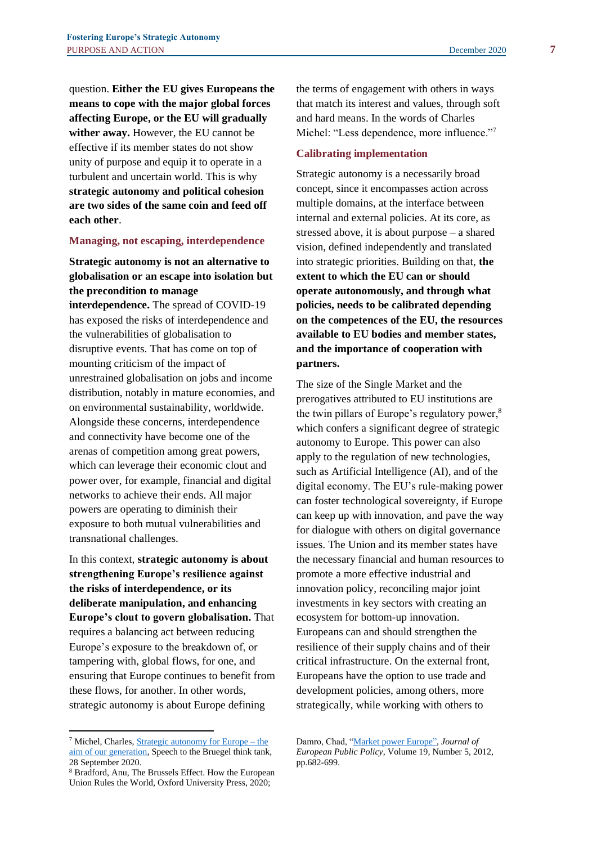question. **Either the EU gives Europeans the means to cope with the major global forces affecting Europe, or the EU will gradually wither away.** However, the EU cannot be effective if its member states do not show unity of purpose and equip it to operate in a turbulent and uncertain world. This is why **strategic autonomy and political cohesion are two sides of the same coin and feed off each other**.

#### **Managing, not escaping, interdependence**

# **Strategic autonomy is not an alternative to globalisation or an escape into isolation but the precondition to manage**

**interdependence.** The spread of COVID-19 has exposed the risks of interdependence and the vulnerabilities of globalisation to disruptive events. That has come on top of mounting criticism of the impact of unrestrained globalisation on jobs and income distribution, notably in mature economies, and on environmental sustainability, worldwide. Alongside these concerns, interdependence and connectivity have become one of the arenas of competition among great powers, which can leverage their economic clout and power over, for example, financial and digital networks to achieve their ends. All major powers are operating to diminish their exposure to both mutual vulnerabilities and transnational challenges.

In this context, **strategic autonomy is about strengthening Europe's resilience against the risks of interdependence, or its deliberate manipulation, and enhancing Europe's clout to govern globalisation.** That requires a balancing act between reducing Europe's exposure to the breakdown of, or tampering with, global flows, for one, and ensuring that Europe continues to benefit from these flows, for another. In other words, strategic autonomy is about Europe defining

the terms of engagement with others in ways that match its interest and values, through soft and hard means. In the words of Charles Michel: "Less dependence, more influence."<sup>7</sup>

#### **Calibrating implementation**

Strategic autonomy is a necessarily broad concept, since it encompasses action across multiple domains, at the interface between internal and external policies. At its core, as stressed above, it is about purpose – a shared vision, defined independently and translated into strategic priorities. Building on that, **the extent to which the EU can or should operate autonomously, and through what policies, needs to be calibrated depending on the competences of the EU, the resources available to EU bodies and member states, and the importance of cooperation with partners.**

The size of the Single Market and the prerogatives attributed to EU institutions are the twin pillars of Europe's regulatory power,<sup>8</sup> which confers a significant degree of strategic autonomy to Europe. This power can also apply to the regulation of new technologies, such as Artificial Intelligence (AI), and of the digital economy. The EU's rule-making power can foster technological sovereignty, if Europe can keep up with innovation, and pave the way for dialogue with others on digital governance issues. The Union and its member states have the necessary financial and human resources to promote a more effective industrial and innovation policy, reconciling major joint investments in key sectors with creating an ecosystem for bottom-up innovation. Europeans can and should strengthen the resilience of their supply chains and of their critical infrastructure. On the external front, Europeans have the option to use trade and development policies, among others, more strategically, while working with others to

<sup>7</sup> Michel, Charles[, Strategic autonomy for Europe –](https://www.consilium.europa.eu/en/press/press-releases/2020/09/28/l-autonomie-strategique-europeenne-est-l-objectif-de-notre-generation-discours-du-president-charles-michel-au-groupe-de-reflexion-bruegel/) the [aim of our generation,](https://www.consilium.europa.eu/en/press/press-releases/2020/09/28/l-autonomie-strategique-europeenne-est-l-objectif-de-notre-generation-discours-du-president-charles-michel-au-groupe-de-reflexion-bruegel/) Speech to the Bruegel think tank, 28 September 2020.

<sup>8</sup> Bradford, Anu, The Brussels Effect. How the European Union Rules the World, Oxford University Press, 2020;

Damro, Chad, ["Market power Europe"](https://www.tandfonline.com/doi/abs/10.1080/13501763.2011.646779), *Journal of European Public Policy*, Volume 19, Number 5, 2012, pp.682-699.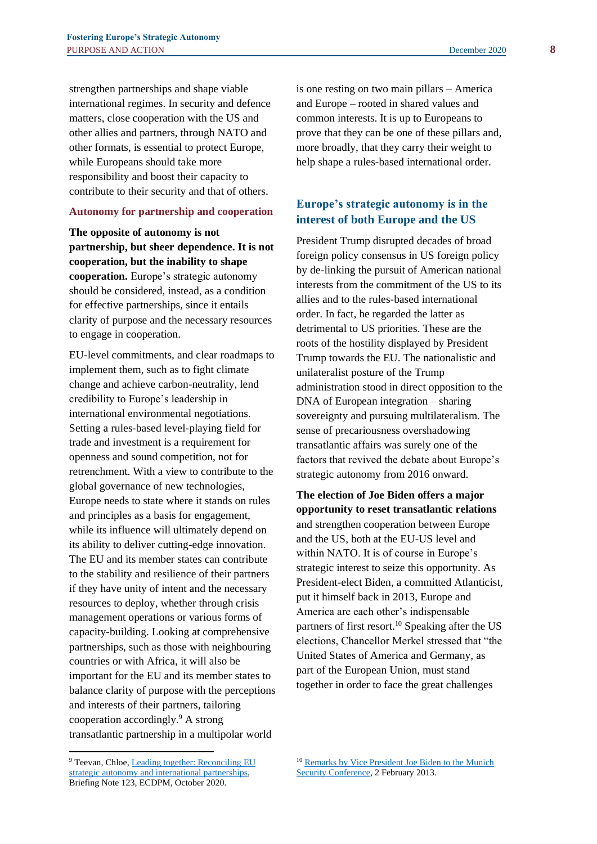strengthen partnerships and shape viable international regimes. In security and defence matters, close cooperation with the US and other allies and partners, through NATO and other formats, is essential to protect Europe, while Europeans should take more responsibility and boost their capacity to contribute to their security and that of others.

#### **Autonomy for partnership and cooperation**

**The opposite of autonomy is not partnership, but sheer dependence. It is not cooperation, but the inability to shape cooperation.** Europe's strategic autonomy should be considered, instead, as a condition for effective partnerships, since it entails clarity of purpose and the necessary resources to engage in cooperation.

EU-level commitments, and clear roadmaps to implement them, such as to fight climate change and achieve carbon-neutrality, lend credibility to Europe's leadership in international environmental negotiations. Setting a rules-based level-playing field for trade and investment is a requirement for openness and sound competition, not for retrenchment. With a view to contribute to the global governance of new technologies, Europe needs to state where it stands on rules and principles as a basis for engagement, while its influence will ultimately depend on its ability to deliver cutting-edge innovation. The EU and its member states can contribute to the stability and resilience of their partners if they have unity of intent and the necessary resources to deploy, whether through crisis management operations or various forms of capacity-building. Looking at comprehensive partnerships, such as those with neighbouring countries or with Africa, it will also be important for the EU and its member states to balance clarity of purpose with the perceptions and interests of their partners, tailoring cooperation accordingly.<sup>9</sup> A strong transatlantic partnership in a multipolar world

is one resting on two main pillars – America and Europe – rooted in shared values and common interests. It is up to Europeans to prove that they can be one of these pillars and, more broadly, that they carry their weight to help shape a rules-based international order.

# **Europe's strategic autonomy is in the interest of both Europe and the US**

President Trump disrupted decades of broad foreign policy consensus in US foreign policy by de-linking the pursuit of American national interests from the commitment of the US to its allies and to the rules-based international order. In fact, he regarded the latter as detrimental to US priorities. These are the roots of the hostility displayed by President Trump towards the EU. The nationalistic and unilateralist posture of the Trump administration stood in direct opposition to the DNA of European integration – sharing sovereignty and pursuing multilateralism. The sense of precariousness overshadowing transatlantic affairs was surely one of the factors that revived the debate about Europe's strategic autonomy from 2016 onward.

**The election of Joe Biden offers a major opportunity to reset transatlantic relations** and strengthen cooperation between Europe and the US, both at the EU-US level and within NATO. It is of course in Europe's strategic interest to seize this opportunity. As President-elect Biden, a committed Atlanticist, put it himself back in 2013, Europe and America are each other's indispensable partners of first resort.<sup>10</sup> Speaking after the US elections, Chancellor Merkel stressed that "the United States of America and Germany, as part of the European Union, must stand together in order to face the great challenges

<sup>9</sup> Teevan, Chloe[, Leading together: Reconciling EU](https://ecdpm.org/publications/leading-together-reconciling-eu-strategic-autonomy-international-partnerships/)  [strategic autonomy and international partnerships,](https://ecdpm.org/publications/leading-together-reconciling-eu-strategic-autonomy-international-partnerships/) Briefing Note 123, ECDPM, October 2020.

<sup>10</sup> [Remarks by Vice President Joe Biden to the Munich](https://obamawhitehouse.archives.gov/the-press-office/2013/02/02/remarks-vice-president-joe-biden-munich-security-conference-hotel-bayeri)  [Security Conference,](https://obamawhitehouse.archives.gov/the-press-office/2013/02/02/remarks-vice-president-joe-biden-munich-security-conference-hotel-bayeri) 2 February 2013.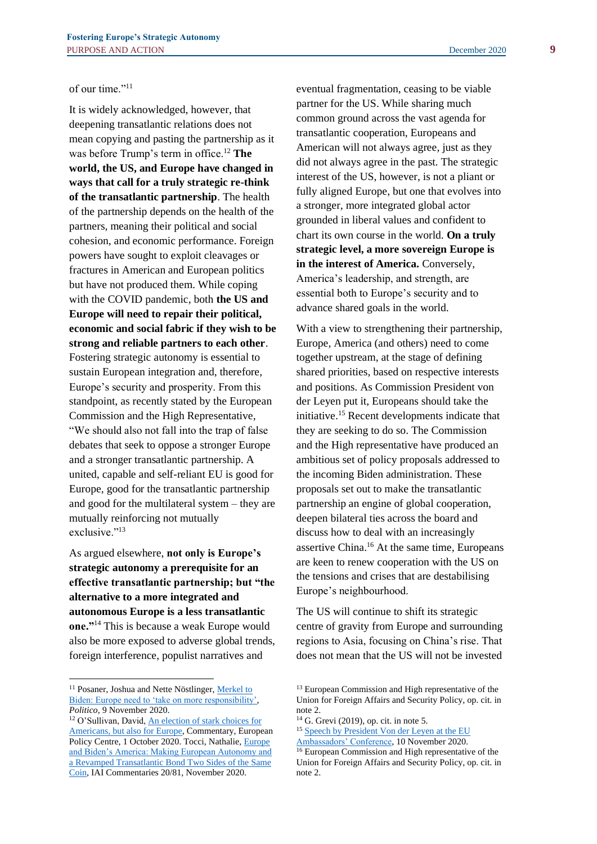of our time."<sup>11</sup>

It is widely acknowledged, however, that deepening transatlantic relations does not mean copying and pasting the partnership as it was before Trump's term in office.<sup>12</sup> **The world, the US, and Europe have changed in ways that call for a truly strategic re-think of the transatlantic partnership**. The health of the partnership depends on the health of the partners, meaning their political and social cohesion, and economic performance. Foreign powers have sought to exploit cleavages or fractures in American and European politics but have not produced them. While coping with the COVID pandemic, both **the US and Europe will need to repair their political, economic and social fabric if they wish to be strong and reliable partners to each other**. Fostering strategic autonomy is essential to sustain European integration and, therefore, Europe's security and prosperity. From this standpoint, as recently stated by the European Commission and the High Representative, "We should also not fall into the trap of false debates that seek to oppose a stronger Europe and a stronger transatlantic partnership. A united, capable and self-reliant EU is good for Europe, good for the transatlantic partnership and good for the multilateral system – they are mutually reinforcing not mutually exclusive."<sup>13</sup>

As argued elsewhere, **not only is Europe's strategic autonomy a prerequisite for an effective transatlantic partnership; but "the alternative to a more integrated and autonomous Europe is a less transatlantic one."**<sup>14</sup> This is because a weak Europe would also be more exposed to adverse global trends, foreign interference, populist narratives and

eventual fragmentation, ceasing to be viable partner for the US. While sharing much common ground across the vast agenda for transatlantic cooperation, Europeans and American will not always agree, just as they did not always agree in the past. The strategic interest of the US, however, is not a pliant or fully aligned Europe, but one that evolves into a stronger, more integrated global actor grounded in liberal values and confident to chart its own course in the world. **On a truly strategic level, a more sovereign Europe is in the interest of America.** Conversely, America's leadership, and strength, are essential both to Europe's security and to advance shared goals in the world.

With a view to strengthening their partnership, Europe, America (and others) need to come together upstream, at the stage of defining shared priorities, based on respective interests and positions. As Commission President von der Leyen put it, Europeans should take the initiative.<sup>15</sup> Recent developments indicate that they are seeking to do so. The Commission and the High representative have produced an ambitious set of policy proposals addressed to the incoming Biden administration. These proposals set out to make the transatlantic partnership an engine of global cooperation, deepen bilateral ties across the board and discuss how to deal with an increasingly assertive China.<sup>16</sup> At the same time, Europeans are keen to renew cooperation with the US on the tensions and crises that are destabilising Europe's neighbourhood.

The US will continue to shift its strategic centre of gravity from Europe and surrounding regions to Asia, focusing on China's rise. That does not mean that the US will not be invested

<sup>&</sup>lt;sup>11</sup> Posaner, Joshua and Nette Nöstlinger, Merkel to [Biden: Europe need to 'take on more responsibility',](https://www.politico.eu/article/angela-merkel-joe-biden-europe-will-take-more-responsibility/) *Politico*, 9 November 2020.

<sup>12</sup> O'Sullivan, David, An election [of stark choices for](https://www.epc.eu/en/publications/An-election-of-stark-choices-for-Americans-but-also-for-Europe~37e0b0)  [Americans, but also for Europe,](https://www.epc.eu/en/publications/An-election-of-stark-choices-for-Americans-but-also-for-Europe~37e0b0) Commentary, European Policy Centre, 1 October 2020. Tocci, Nathalie, [Europe](https://www.iai.it/en/pubblicazioni/europe-and-bidens-america)  [and Biden's America: Making European Autonomy and](https://www.iai.it/en/pubblicazioni/europe-and-bidens-america)  [a Revamped Transatlantic Bond Two Sides of the Same](https://www.iai.it/en/pubblicazioni/europe-and-bidens-america)  [Coin,](https://www.iai.it/en/pubblicazioni/europe-and-bidens-america) IAI Commentaries 20/81, November 2020.

<sup>13</sup> European Commission and High representative of the Union for Foreign Affairs and Security Policy, op. cit. in note 2.

<sup>14</sup> G. Grevi (2019), op. cit. in note 5.

<sup>15</sup> [Speech by President Von der Leyen at the EU](https://ec.europa.eu/commission/presscorner/detail/en/SPEECH_20_2064) 

[Ambassadors' Conference,](https://ec.europa.eu/commission/presscorner/detail/en/SPEECH_20_2064) 10 November 2020.

<sup>&</sup>lt;sup>16</sup> European Commission and High representative of the Union for Foreign Affairs and Security Policy, op. cit. in note 2.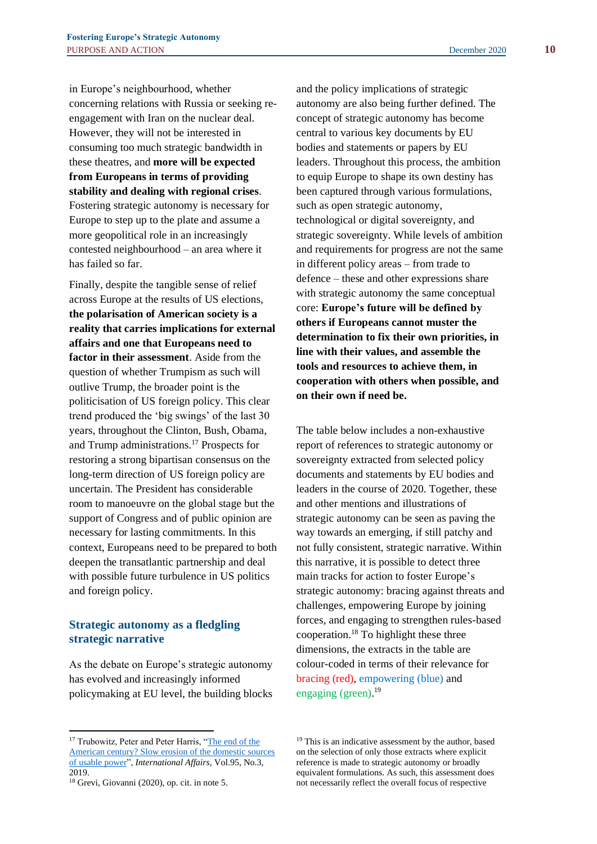in Europe's neighbourhood, whether concerning relations with Russia or seeking reengagement with Iran on the nuclear deal. However, they will not be interested in consuming too much strategic bandwidth in these theatres, and **more will be expected from Europeans in terms of providing stability and dealing with regional crises**. Fostering strategic autonomy is necessary for Europe to step up to the plate and assume a more geopolitical role in an increasingly contested neighbourhood – an area where it has failed so far.

Finally, despite the tangible sense of relief across Europe at the results of US elections, **the polarisation of American society is a reality that carries implications for external affairs and one that Europeans need to factor in their assessment**. Aside from the question of whether Trumpism as such will outlive Trump, the broader point is the politicisation of US foreign policy. This clear trend produced the 'big swings' of the last 30 years, throughout the Clinton, Bush, Obama, and Trump administrations.<sup>17</sup> Prospects for restoring a strong bipartisan consensus on the long-term direction of US foreign policy are uncertain. The President has considerable room to manoeuvre on the global stage but the support of Congress and of public opinion are necessary for lasting commitments. In this context, Europeans need to be prepared to both deepen the transatlantic partnership and deal with possible future turbulence in US politics and foreign policy.

## **Strategic autonomy as a fledgling strategic narrative**

As the debate on Europe's strategic autonomy has evolved and increasingly informed policymaking at EU level, the building blocks and the policy implications of strategic autonomy are also being further defined. The concept of strategic autonomy has become central to various key documents by EU bodies and statements or papers by EU leaders. Throughout this process, the ambition to equip Europe to shape its own destiny has been captured through various formulations, such as open strategic autonomy, technological or digital sovereignty, and strategic sovereignty. While levels of ambition and requirements for progress are not the same in different policy areas – from trade to defence – these and other expressions share with strategic autonomy the same conceptual core: **Europe's future will be defined by others if Europeans cannot muster the determination to fix their own priorities, in line with their values, and assemble the tools and resources to achieve them, in cooperation with others when possible, and on their own if need be.**

The table below includes a non-exhaustive report of references to strategic autonomy or sovereignty extracted from selected policy documents and statements by EU bodies and leaders in the course of 2020. Together, these and other mentions and illustrations of strategic autonomy can be seen as paving the way towards an emerging, if still patchy and not fully consistent, strategic narrative. Within this narrative, it is possible to detect three main tracks for action to foster Europe's strategic autonomy: bracing against threats and challenges, empowering Europe by joining forces, and engaging to strengthen rules-based cooperation.<sup>18</sup> To highlight these three dimensions, the extracts in the table are colour-coded in terms of their relevance for bracing (red), empowering (blue) and engaging (green). 19

<sup>&</sup>lt;sup>17</sup> Trubowitz, Peter and Peter Harris, "The end of the [American century? Slow erosion of the domestic sources](https://academic.oup.com/ia/article-abstract/95/3/619/5482366)  [of usable power"](https://academic.oup.com/ia/article-abstract/95/3/619/5482366), *International Affairs*, Vol.95, No.3, 2019.

<sup>18</sup> Grevi, Giovanni (2020), op. cit. in note 5.

<sup>&</sup>lt;sup>19</sup> This is an indicative assessment by the author, based on the selection of only those extracts where explicit reference is made to strategic autonomy or broadly equivalent formulations. As such, this assessment does not necessarily reflect the overall focus of respective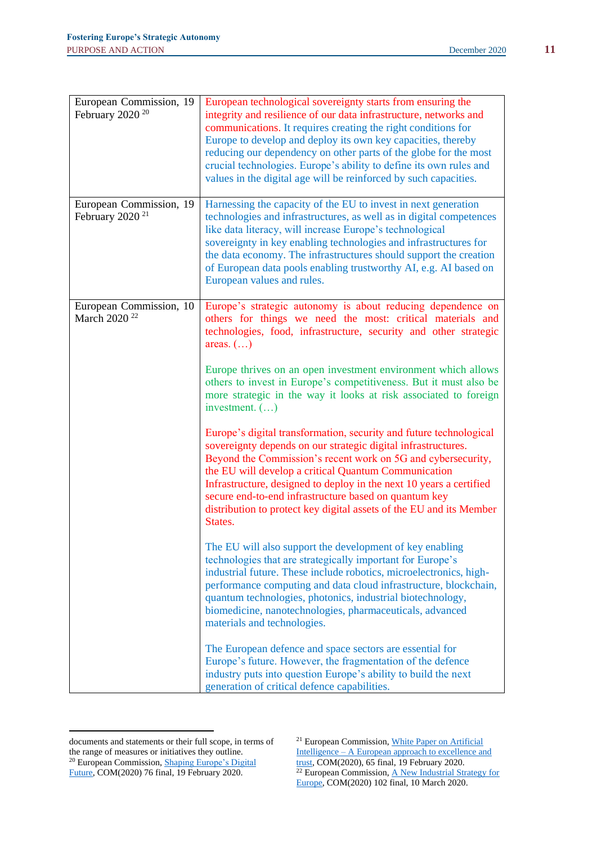| European Commission, 19<br>February 2020 <sup>20</sup> | European technological sovereignty starts from ensuring the<br>integrity and resilience of our data infrastructure, networks and<br>communications. It requires creating the right conditions for<br>Europe to develop and deploy its own key capacities, thereby<br>reducing our dependency on other parts of the globe for the most<br>crucial technologies. Europe's ability to define its own rules and<br>values in the digital age will be reinforced by such capacities. |
|--------------------------------------------------------|---------------------------------------------------------------------------------------------------------------------------------------------------------------------------------------------------------------------------------------------------------------------------------------------------------------------------------------------------------------------------------------------------------------------------------------------------------------------------------|
| European Commission, 19<br>February 2020 <sup>21</sup> | Harnessing the capacity of the EU to invest in next generation<br>technologies and infrastructures, as well as in digital competences<br>like data literacy, will increase Europe's technological<br>sovereignty in key enabling technologies and infrastructures for<br>the data economy. The infrastructures should support the creation<br>of European data pools enabling trustworthy AI, e.g. AI based on<br>European values and rules.                                    |
| European Commission, 10<br>March 2020 <sup>22</sup>    | Europe's strategic autonomy is about reducing dependence on<br>others for things we need the most: critical materials and<br>technologies, food, infrastructure, security and other strategic<br>areas. $(\ldots)$                                                                                                                                                                                                                                                              |
|                                                        | Europe thrives on an open investment environment which allows<br>others to invest in Europe's competitiveness. But it must also be<br>more strategic in the way it looks at risk associated to foreign<br>investment. $(\ldots)$                                                                                                                                                                                                                                                |
|                                                        | Europe's digital transformation, security and future technological<br>sovereignty depends on our strategic digital infrastructures.<br>Beyond the Commission's recent work on 5G and cybersecurity,<br>the EU will develop a critical Quantum Communication<br>Infrastructure, designed to deploy in the next 10 years a certified<br>secure end-to-end infrastructure based on quantum key<br>distribution to protect key digital assets of the EU and its Member<br>States.   |
|                                                        | The EU will also support the development of key enabling<br>technologies that are strategically important for Europe's<br>industrial future. These include robotics, microelectronics, high-<br>performance computing and data cloud infrastructure, blockchain,<br>quantum technologies, photonics, industrial biotechnology,<br>biomedicine, nanotechnologies, pharmaceuticals, advanced<br>materials and technologies.                                                       |
|                                                        | The European defence and space sectors are essential for<br>Europe's future. However, the fragmentation of the defence<br>industry puts into question Europe's ability to build the next<br>generation of critical defence capabilities.                                                                                                                                                                                                                                        |

documents and statements or their full scope, in terms of the range of measures or initiatives they outline. <sup>20</sup> European Commission, **Shaping Europe's Digital** [Future,](https://ec.europa.eu/info/publications/communication-shaping-europes-digital-future_en) COM(2020) 76 final, 19 February 2020.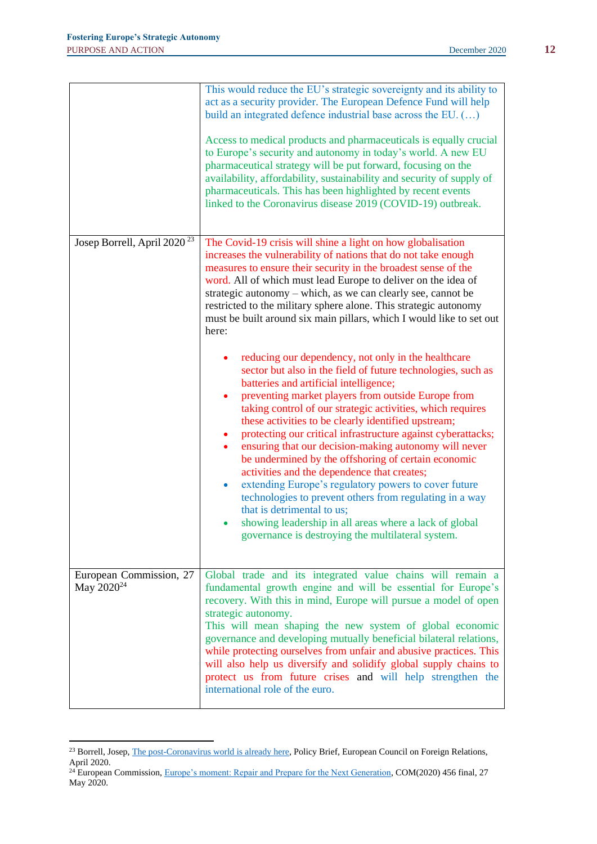|                                                   | This would reduce the EU's strategic sovereignty and its ability to<br>act as a security provider. The European Defence Fund will help<br>build an integrated defence industrial base across the EU. ()<br>Access to medical products and pharmaceuticals is equally crucial<br>to Europe's security and autonomy in today's world. A new EU<br>pharmaceutical strategy will be put forward, focusing on the<br>availability, affordability, sustainability and security of supply of<br>pharmaceuticals. This has been highlighted by recent events<br>linked to the Coronavirus disease 2019 (COVID-19) outbreak.                                                                                                                                                                                                                                                                                                                                                                                                                                                                                                                                                                                                                                                                                                                                                                       |
|---------------------------------------------------|-------------------------------------------------------------------------------------------------------------------------------------------------------------------------------------------------------------------------------------------------------------------------------------------------------------------------------------------------------------------------------------------------------------------------------------------------------------------------------------------------------------------------------------------------------------------------------------------------------------------------------------------------------------------------------------------------------------------------------------------------------------------------------------------------------------------------------------------------------------------------------------------------------------------------------------------------------------------------------------------------------------------------------------------------------------------------------------------------------------------------------------------------------------------------------------------------------------------------------------------------------------------------------------------------------------------------------------------------------------------------------------------|
| Josep Borrell, April 2020 <sup>23</sup>           | The Covid-19 crisis will shine a light on how globalisation<br>increases the vulnerability of nations that do not take enough<br>measures to ensure their security in the broadest sense of the<br>word. All of which must lead Europe to deliver on the idea of<br>strategic autonomy – which, as we can clearly see, cannot be<br>restricted to the military sphere alone. This strategic autonomy<br>must be built around six main pillars, which I would like to set out<br>here:<br>reducing our dependency, not only in the healthcare<br>sector but also in the field of future technologies, such as<br>batteries and artificial intelligence;<br>preventing market players from outside Europe from<br>٠<br>taking control of our strategic activities, which requires<br>these activities to be clearly identified upstream;<br>protecting our critical infrastructure against cyberattacks;<br>$\bullet$<br>ensuring that our decision-making autonomy will never<br>$\bullet$<br>be undermined by the offshoring of certain economic<br>activities and the dependence that creates;<br>extending Europe's regulatory powers to cover future<br>$\bullet$<br>technologies to prevent others from regulating in a way<br>that is detrimental to us;<br>showing leadership in all areas where a lack of global<br>$\bullet$<br>governance is destroying the multilateral system. |
| European Commission, 27<br>May 2020 <sup>24</sup> | Global trade and its integrated value chains will remain a<br>fundamental growth engine and will be essential for Europe's<br>recovery. With this in mind, Europe will pursue a model of open<br>strategic autonomy.<br>This will mean shaping the new system of global economic<br>governance and developing mutually beneficial bilateral relations,<br>while protecting ourselves from unfair and abusive practices. This<br>will also help us diversify and solidify global supply chains to<br>protect us from future crises and will help strengthen the<br>international role of the euro.                                                                                                                                                                                                                                                                                                                                                                                                                                                                                                                                                                                                                                                                                                                                                                                         |

<sup>&</sup>lt;sup>23</sup> Borrell, Josep, *The post-Coronavirus world is already here*, Policy Brief, European Council on Foreign Relations, April 2020.

<sup>&</sup>lt;sup>24</sup> European Commission, [Europe's moment: Repair and Prepare for the Next Generation,](https://ec.europa.eu/commission/presscorner/detail/en/ip_20_940) COM(2020) 456 final, 27 May 2020.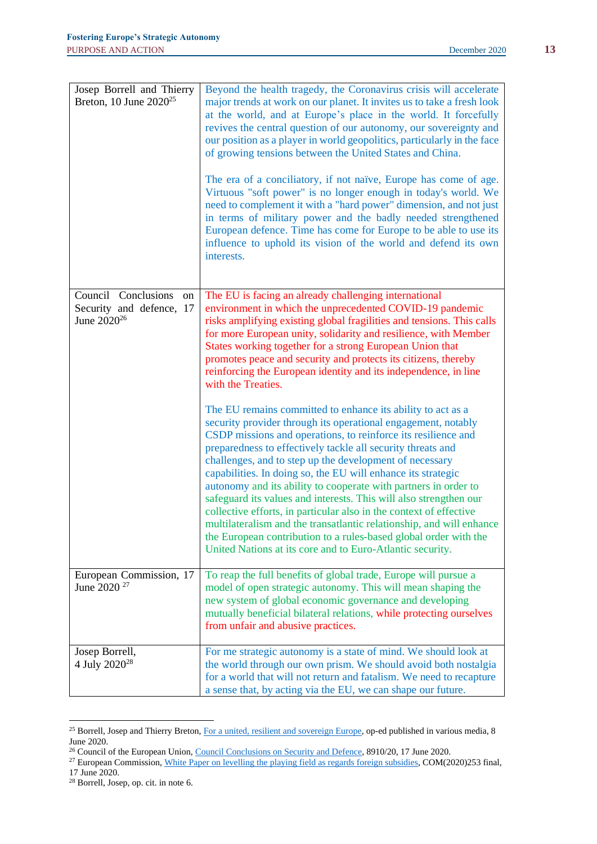| Josep Borrell and Thierry<br>Breton, 10 June 2020 <sup>25</sup>                  | Beyond the health tragedy, the Coronavirus crisis will accelerate<br>major trends at work on our planet. It invites us to take a fresh look<br>at the world, and at Europe's place in the world. It forcefully<br>revives the central question of our autonomy, our sovereignty and<br>our position as a player in world geopolitics, particularly in the face<br>of growing tensions between the United States and China.<br>The era of a conciliatory, if not naïve, Europe has come of age.<br>Virtuous "soft power" is no longer enough in today's world. We<br>need to complement it with a "hard power" dimension, and not just<br>in terms of military power and the badly needed strengthened<br>European defence. Time has come for Europe to be able to use its<br>influence to uphold its vision of the world and defend its own<br>interests.                                                                                                                                                                                                                                                                                                                                                                                                                                              |
|----------------------------------------------------------------------------------|--------------------------------------------------------------------------------------------------------------------------------------------------------------------------------------------------------------------------------------------------------------------------------------------------------------------------------------------------------------------------------------------------------------------------------------------------------------------------------------------------------------------------------------------------------------------------------------------------------------------------------------------------------------------------------------------------------------------------------------------------------------------------------------------------------------------------------------------------------------------------------------------------------------------------------------------------------------------------------------------------------------------------------------------------------------------------------------------------------------------------------------------------------------------------------------------------------------------------------------------------------------------------------------------------------|
| Council Conclusions<br>on<br>Security and defence, 17<br>June 2020 <sup>26</sup> | The EU is facing an already challenging international<br>environment in which the unprecedented COVID-19 pandemic<br>risks amplifying existing global fragilities and tensions. This calls<br>for more European unity, solidarity and resilience, with Member<br>States working together for a strong European Union that<br>promotes peace and security and protects its citizens, thereby<br>reinforcing the European identity and its independence, in line<br>with the Treaties.<br>The EU remains committed to enhance its ability to act as a<br>security provider through its operational engagement, notably<br>CSDP missions and operations, to reinforce its resilience and<br>preparedness to effectively tackle all security threats and<br>challenges, and to step up the development of necessary<br>capabilities. In doing so, the EU will enhance its strategic<br>autonomy and its ability to cooperate with partners in order to<br>safeguard its values and interests. This will also strengthen our<br>collective efforts, in particular also in the context of effective<br>multilateralism and the transatlantic relationship, and will enhance<br>the European contribution to a rules-based global order with the<br>United Nations at its core and to Euro-Atlantic security. |
| European Commission, 17<br>June 2020 <sup>27</sup>                               | To reap the full benefits of global trade, Europe will pursue a<br>model of open strategic autonomy. This will mean shaping the<br>new system of global economic governance and developing<br>mutually beneficial bilateral relations, while protecting ourselves<br>from unfair and abusive practices.                                                                                                                                                                                                                                                                                                                                                                                                                                                                                                                                                                                                                                                                                                                                                                                                                                                                                                                                                                                                |
| Josep Borrell,<br>4 July 2020 <sup>28</sup>                                      | For me strategic autonomy is a state of mind. We should look at<br>the world through our own prism. We should avoid both nostalgia<br>for a world that will not return and fatalism. We need to recapture<br>a sense that, by acting via the EU, we can shape our future.                                                                                                                                                                                                                                                                                                                                                                                                                                                                                                                                                                                                                                                                                                                                                                                                                                                                                                                                                                                                                              |

<sup>&</sup>lt;sup>25</sup> Borrell, Josep and Thierry Breton, [For a united, resilient and sovereign Europe,](https://ec.europa.eu/commission/commissioners/2019-2024/breton/announcements/united-resilient-and-sovereign-europe_en) op-ed published in various media, 8 June 2020.

<sup>&</sup>lt;sup>26</sup> Council of the European Union[, Council Conclusions on Security and Defence,](https://www.consilium.europa.eu/en/press/press-releases/2020/06/17/security-and-defence-council-adopts-conclusions/) 8910/20, 17 June 2020.

<sup>&</sup>lt;sup>27</sup> European Commission, [White Paper on levelling the playing field as regards foreign subsidies,](https://ec.europa.eu/competition/international/overview/foreign_subsidies_white_paper.pdf) COM(2020)253 final,

<sup>17</sup> June 2020.

<sup>28</sup> Borrell, Josep, op. cit. in note 6.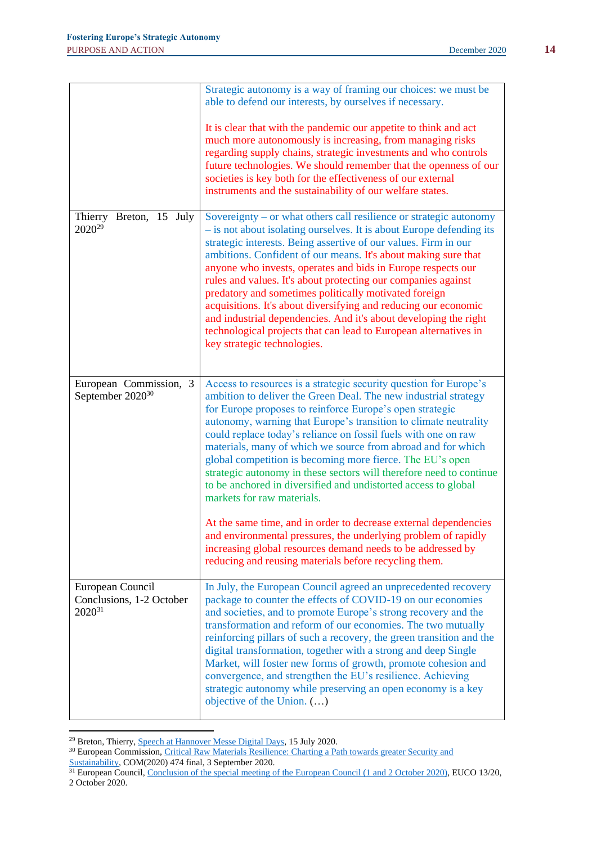|                                                             | Strategic autonomy is a way of framing our choices: we must be<br>able to defend our interests, by ourselves if necessary.                                                                                                                                                                                                                                                                                                                                                                                                                                                                                                                                                                                                                                                                                                                                                                               |
|-------------------------------------------------------------|----------------------------------------------------------------------------------------------------------------------------------------------------------------------------------------------------------------------------------------------------------------------------------------------------------------------------------------------------------------------------------------------------------------------------------------------------------------------------------------------------------------------------------------------------------------------------------------------------------------------------------------------------------------------------------------------------------------------------------------------------------------------------------------------------------------------------------------------------------------------------------------------------------|
|                                                             | It is clear that with the pandemic our appetite to think and act<br>much more autonomously is increasing, from managing risks<br>regarding supply chains, strategic investments and who controls<br>future technologies. We should remember that the openness of our<br>societies is key both for the effectiveness of our external<br>instruments and the sustainability of our welfare states.                                                                                                                                                                                                                                                                                                                                                                                                                                                                                                         |
| Thierry Breton, 15 July<br>2020 <sup>29</sup>               | Sovereignty – or what others call resilience or strategic autonomy<br>- is not about isolating ourselves. It is about Europe defending its<br>strategic interests. Being assertive of our values. Firm in our<br>ambitions. Confident of our means. It's about making sure that<br>anyone who invests, operates and bids in Europe respects our<br>rules and values. It's about protecting our companies against<br>predatory and sometimes politically motivated foreign<br>acquisitions. It's about diversifying and reducing our economic<br>and industrial dependencies. And it's about developing the right<br>technological projects that can lead to European alternatives in<br>key strategic technologies.                                                                                                                                                                                      |
| European Commission, 3<br>September 2020 <sup>30</sup>      | Access to resources is a strategic security question for Europe's<br>ambition to deliver the Green Deal. The new industrial strategy<br>for Europe proposes to reinforce Europe's open strategic<br>autonomy, warning that Europe's transition to climate neutrality<br>could replace today's reliance on fossil fuels with one on raw<br>materials, many of which we source from abroad and for which<br>global competition is becoming more fierce. The EU's open<br>strategic autonomy in these sectors will therefore need to continue<br>to be anchored in diversified and undistorted access to global<br>markets for raw materials.<br>At the same time, and in order to decrease external dependencies<br>and environmental pressures, the underlying problem of rapidly<br>increasing global resources demand needs to be addressed by<br>reducing and reusing materials before recycling them. |
| European Council<br>Conclusions, 1-2 October<br>$2020^{31}$ | In July, the European Council agreed an unprecedented recovery<br>package to counter the effects of COVID-19 on our economies<br>and societies, and to promote Europe's strong recovery and the<br>transformation and reform of our economies. The two mutually<br>reinforcing pillars of such a recovery, the green transition and the<br>digital transformation, together with a strong and deep Single<br>Market, will foster new forms of growth, promote cohesion and<br>convergence, and strengthen the EU's resilience. Achieving<br>strategic autonomy while preserving an open economy is a key<br>objective of the Union. $(\ldots)$                                                                                                                                                                                                                                                           |

<sup>&</sup>lt;sup>29</sup> Breton, Thierry, **Speech at Hannover Messe Digital Days**, 15 July 2020.

<sup>&</sup>lt;sup>30</sup> European Commission, Critical Raw Materials Resilience: Charting a Path towards greater Security and [Sustainability,](https://ec.europa.eu/docsroom/documents/42849) COM(2020) 474 final, 3 September 2020.

<sup>&</sup>lt;sup>31</sup> European Council, [Conclusion of the special meeting of the European Council \(1](https://www.consilium.europa.eu/media/45910/021020-euco-final-conclusions.pdf) and 2 October 2020), EUCO 13/20, 2 October 2020.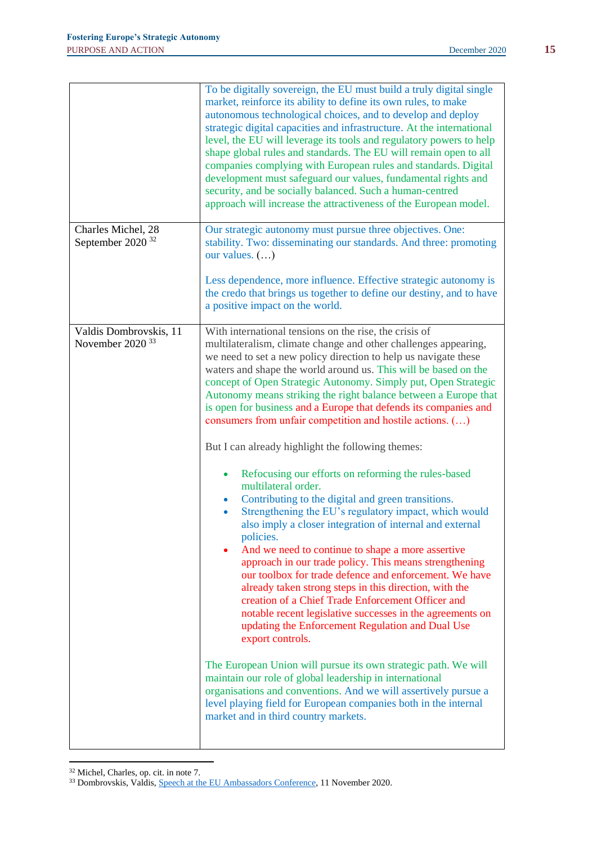|                                                       | To be digitally sovereign, the EU must build a truly digital single<br>market, reinforce its ability to define its own rules, to make<br>autonomous technological choices, and to develop and deploy<br>strategic digital capacities and infrastructure. At the international<br>level, the EU will leverage its tools and regulatory powers to help<br>shape global rules and standards. The EU will remain open to all<br>companies complying with European rules and standards. Digital<br>development must safeguard our values, fundamental rights and<br>security, and be socially balanced. Such a human-centred<br>approach will increase the attractiveness of the European model.                                                                                                                                                                                                                                                                                                                                                                                                                                                                                                                                                                                                                                                                                                                                                                                                                                                                                                                           |
|-------------------------------------------------------|-----------------------------------------------------------------------------------------------------------------------------------------------------------------------------------------------------------------------------------------------------------------------------------------------------------------------------------------------------------------------------------------------------------------------------------------------------------------------------------------------------------------------------------------------------------------------------------------------------------------------------------------------------------------------------------------------------------------------------------------------------------------------------------------------------------------------------------------------------------------------------------------------------------------------------------------------------------------------------------------------------------------------------------------------------------------------------------------------------------------------------------------------------------------------------------------------------------------------------------------------------------------------------------------------------------------------------------------------------------------------------------------------------------------------------------------------------------------------------------------------------------------------------------------------------------------------------------------------------------------------|
| Charles Michel, 28<br>September 2020 <sup>32</sup>    | Our strategic autonomy must pursue three objectives. One:<br>stability. Two: disseminating our standards. And three: promoting<br>our values. $()$<br>Less dependence, more influence. Effective strategic autonomy is<br>the credo that brings us together to define our destiny, and to have<br>a positive impact on the world.                                                                                                                                                                                                                                                                                                                                                                                                                                                                                                                                                                                                                                                                                                                                                                                                                                                                                                                                                                                                                                                                                                                                                                                                                                                                                     |
| Valdis Dombrovskis, 11<br>November 2020 <sup>33</sup> | With international tensions on the rise, the crisis of<br>multilateralism, climate change and other challenges appearing,<br>we need to set a new policy direction to help us navigate these<br>waters and shape the world around us. This will be based on the<br>concept of Open Strategic Autonomy. Simply put, Open Strategic<br>Autonomy means striking the right balance between a Europe that<br>is open for business and a Europe that defends its companies and<br>consumers from unfair competition and hostile actions. ()<br>But I can already highlight the following themes:<br>Refocusing our efforts on reforming the rules-based<br>multilateral order.<br>Contributing to the digital and green transitions.<br>$\bullet$<br>Strengthening the EU's regulatory impact, which would<br>also imply a closer integration of internal and external<br>policies.<br>And we need to continue to shape a more assertive<br>approach in our trade policy. This means strengthening<br>our toolbox for trade defence and enforcement. We have<br>already taken strong steps in this direction, with the<br>creation of a Chief Trade Enforcement Officer and<br>notable recent legislative successes in the agreements on<br>updating the Enforcement Regulation and Dual Use<br>export controls.<br>The European Union will pursue its own strategic path. We will<br>maintain our role of global leadership in international<br>organisations and conventions. And we will assertively pursue a<br>level playing field for European companies both in the internal<br>market and in third country markets. |

<sup>32</sup> Michel, Charles, op. cit. in note 7.

<sup>&</sup>lt;sup>33</sup> Dombrovskis, Valdis[, Speech at the EU Ambassadors Conference,](https://ec.europa.eu/commission/commissioners/2019-2024/dombrovskis/announcements/eu-ambassadors-conference-speech-evp-dombrovskis-between-open-economy-and-geoeconomics-will-trade-be_en) 11 November 2020.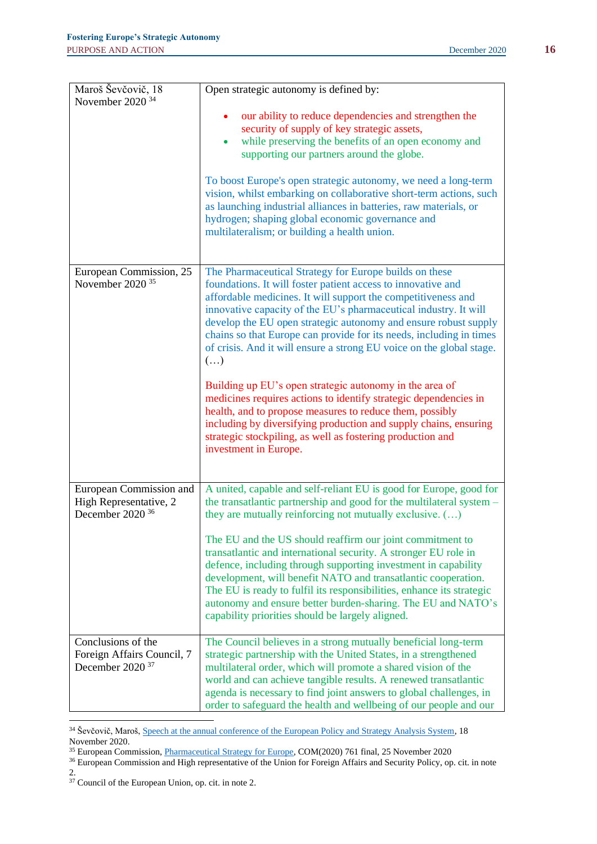| Maroš Ševčovič, 18          | Open strategic autonomy is defined by:                                                                                                 |
|-----------------------------|----------------------------------------------------------------------------------------------------------------------------------------|
| November 2020 <sup>34</sup> |                                                                                                                                        |
|                             | our ability to reduce dependencies and strengthen the                                                                                  |
|                             | security of supply of key strategic assets,                                                                                            |
|                             | while preserving the benefits of an open economy and<br>$\bullet$                                                                      |
|                             | supporting our partners around the globe.                                                                                              |
|                             | To boost Europe's open strategic autonomy, we need a long-term                                                                         |
|                             | vision, whilst embarking on collaborative short-term actions, such                                                                     |
|                             | as launching industrial alliances in batteries, raw materials, or                                                                      |
|                             | hydrogen; shaping global economic governance and                                                                                       |
|                             | multilateralism; or building a health union.                                                                                           |
|                             |                                                                                                                                        |
| European Commission, 25     | The Pharmaceutical Strategy for Europe builds on these                                                                                 |
| November 2020 <sup>35</sup> | foundations. It will foster patient access to innovative and                                                                           |
|                             | affordable medicines. It will support the competitiveness and                                                                          |
|                             | innovative capacity of the EU's pharmaceutical industry. It will                                                                       |
|                             | develop the EU open strategic autonomy and ensure robust supply<br>chains so that Europe can provide for its needs, including in times |
|                             | of crisis. And it will ensure a strong EU voice on the global stage.                                                                   |
|                             | $(\ldots)$                                                                                                                             |
|                             |                                                                                                                                        |
|                             | Building up EU's open strategic autonomy in the area of<br>medicines requires actions to identify strategic dependencies in            |
|                             | health, and to propose measures to reduce them, possibly                                                                               |
|                             | including by diversifying production and supply chains, ensuring                                                                       |
|                             | strategic stockpiling, as well as fostering production and                                                                             |
|                             | investment in Europe.                                                                                                                  |
|                             |                                                                                                                                        |
| European Commission and     | A united, capable and self-reliant EU is good for Europe, good for                                                                     |
| High Representative, 2      | the transatlantic partnership and good for the multilateral system -                                                                   |
| December 2020 <sup>36</sup> | they are mutually reinforcing not mutually exclusive. ()                                                                               |
|                             | The EU and the US should reaffirm our joint commitment to                                                                              |
|                             | transatlantic and international security. A stronger EU role in                                                                        |
|                             | defence, including through supporting investment in capability                                                                         |
|                             | development, will benefit NATO and transatlantic cooperation.                                                                          |
|                             | The EU is ready to fulfil its responsibilities, enhance its strategic<br>autonomy and ensure better burden-sharing. The EU and NATO's  |
|                             | capability priorities should be largely aligned.                                                                                       |
|                             |                                                                                                                                        |
| Conclusions of the          | The Council believes in a strong mutually beneficial long-term                                                                         |
| Foreign Affairs Council, 7  | strategic partnership with the United States, in a strengthened                                                                        |
| December 2020 <sup>37</sup> | multilateral order, which will promote a shared vision of the                                                                          |
|                             | world and can achieve tangible results. A renewed transatlantic<br>agenda is necessary to find joint answers to global challenges, in  |
|                             | order to safeguard the health and wellbeing of our people and our                                                                      |

<sup>&</sup>lt;sup>34</sup> Ševčovič, Maroš, [Speech at the annual conference of the European Policy and Strategy Analysis System,](https://ec.europa.eu/commission/presscorner/detail/en/SPEECH_20_2154) 18 November 2020.

<sup>&</sup>lt;sup>35</sup> European Commission, [Pharmaceutical Strategy for Europe,](https://ec.europa.eu/health/human-use/strategy_en) COM(2020) 761 final, 25 November 2020

<sup>&</sup>lt;sup>36</sup> European Commission and High representative of the Union for Foreign Affairs and Security Policy, op. cit. in note 2.

<sup>&</sup>lt;sup>37</sup> Council of the European Union, op. cit. in note 2.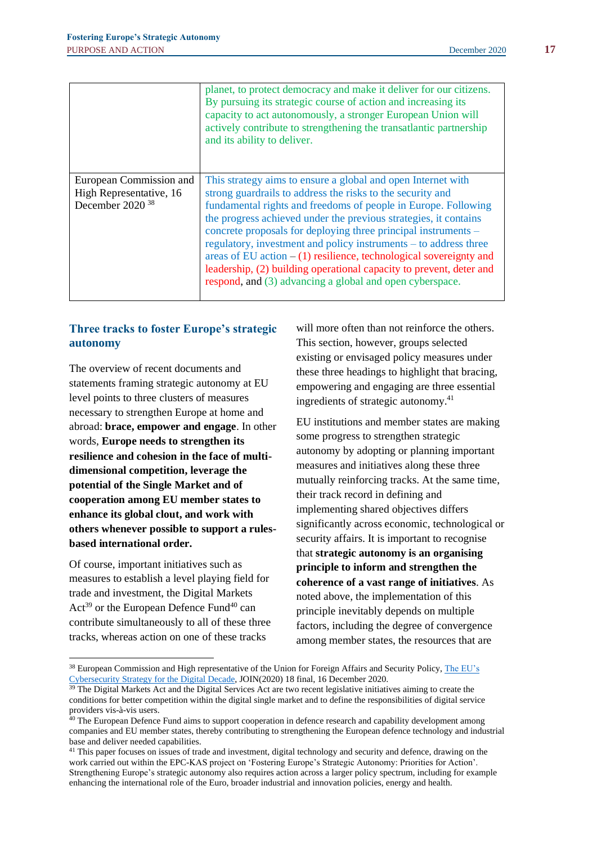|                             | planet, to protect democracy and make it deliver for our citizens.<br>By pursuing its strategic course of action and increasing its<br>capacity to act autonomously, a stronger European Union will<br>actively contribute to strengthening the transatlantic partnership<br>and its ability to deliver.                                                                                                                                                                            |
|-----------------------------|-------------------------------------------------------------------------------------------------------------------------------------------------------------------------------------------------------------------------------------------------------------------------------------------------------------------------------------------------------------------------------------------------------------------------------------------------------------------------------------|
| European Commission and     | This strategy aims to ensure a global and open Internet with                                                                                                                                                                                                                                                                                                                                                                                                                        |
| High Representative, 16     | strong guardrails to address the risks to the security and                                                                                                                                                                                                                                                                                                                                                                                                                          |
| December 2020 <sup>38</sup> | fundamental rights and freedoms of people in Europe. Following<br>the progress achieved under the previous strategies, it contains<br>concrete proposals for deploying three principal instruments –<br>regulatory, investment and policy instruments – to address three<br>areas of EU action $- (1)$ resilience, technological sovereignty and<br>leadership, (2) building operational capacity to prevent, deter and<br>respond, and (3) advancing a global and open cyberspace. |

# **Three tracks to foster Europe's strategic autonomy**

The overview of recent documents and statements framing strategic autonomy at EU level points to three clusters of measures necessary to strengthen Europe at home and abroad: **brace, empower and engage**. In other words, **Europe needs to strengthen its resilience and cohesion in the face of multidimensional competition, leverage the potential of the Single Market and of cooperation among EU member states to enhance its global clout, and work with others whenever possible to support a rulesbased international order.**

Of course, important initiatives such as measures to establish a level playing field for trade and investment, the Digital Markets  $Act^{39}$  or the European Defence Fund<sup>40</sup> can contribute simultaneously to all of these three tracks, whereas action on one of these tracks

will more often than not reinforce the others. This section, however, groups selected existing or envisaged policy measures under these three headings to highlight that bracing, empowering and engaging are three essential ingredients of strategic autonomy.<sup>41</sup>

EU institutions and member states are making some progress to strengthen strategic autonomy by adopting or planning important measures and initiatives along these three mutually reinforcing tracks. At the same time, their track record in defining and implementing shared objectives differs significantly across economic, technological or security affairs. It is important to recognise that **strategic autonomy is an organising principle to inform and strengthen the coherence of a vast range of initiatives**. As noted above, the implementation of this principle inevitably depends on multiple factors, including the degree of convergence among member states, the resources that are

<sup>&</sup>lt;sup>38</sup> European Commission and High representative of the Union for Foreign Affairs and Security Policy, The EU's [Cybersecurity Strategy for the Digital Decade,](https://ec.europa.eu/digital-single-market/en/news/eus-cybersecurity-strategy-digital-decade) JOIN(2020) 18 final, 16 December 2020.

<sup>&</sup>lt;sup>39</sup> The Digital Markets Act and the Digital Services Act are two recent legislative initiatives aiming to create the conditions for better competition within the digital single market and to define the responsibilities of digital service providers vis-à-vis users.

<sup>&</sup>lt;sup>40</sup> The European Defence Fund aims to support cooperation in defence research and capability development among companies and EU member states, thereby contributing to strengthening the European defence technology and industrial base and deliver needed capabilities.

<sup>&</sup>lt;sup>41</sup> This paper focuses on issues of trade and investment, digital technology and security and defence, drawing on the work carried out within the EPC-KAS project on 'Fostering Europe's Strategic Autonomy: Priorities for Action'. Strengthening Europe's strategic autonomy also requires action across a larger policy spectrum, including for example enhancing the international role of the Euro, broader industrial and innovation policies, energy and health.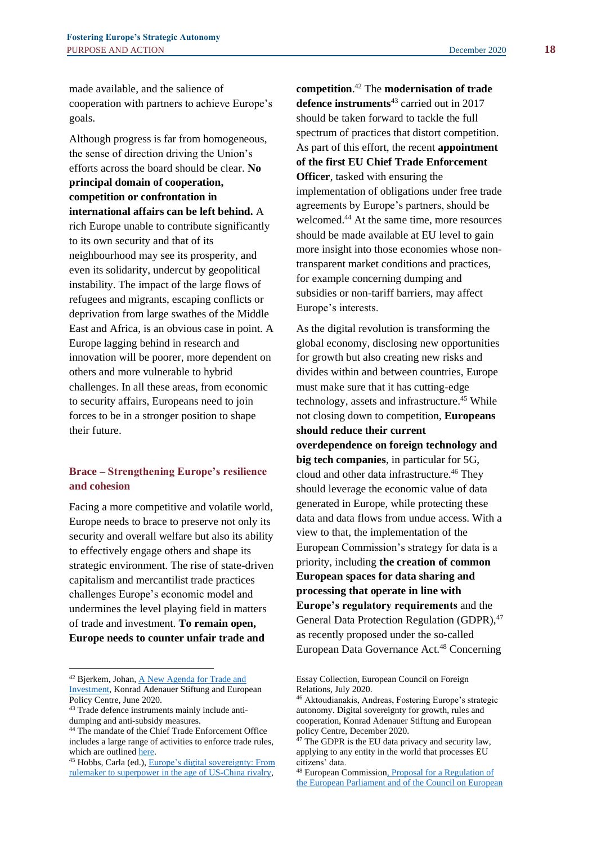made available, and the salience of cooperation with partners to achieve Europe's goals.

Although progress is far from homogeneous, the sense of direction driving the Union's efforts across the board should be clear. **No principal domain of cooperation, competition or confrontation in international affairs can be left behind.** A rich Europe unable to contribute significantly to its own security and that of its neighbourhood may see its prosperity, and even its solidarity, undercut by geopolitical instability. The impact of the large flows of refugees and migrants, escaping conflicts or deprivation from large swathes of the Middle East and Africa, is an obvious case in point. A Europe lagging behind in research and innovation will be poorer, more dependent on others and more vulnerable to hybrid challenges. In all these areas, from economic to security affairs, Europeans need to join forces to be in a stronger position to shape their future.

## **Brace – Strengthening Europe's resilience and cohesion**

Facing a more competitive and volatile world, Europe needs to brace to preserve not only its security and overall welfare but also its ability to effectively engage others and shape its strategic environment. The rise of state-driven capitalism and mercantilist trade practices challenges Europe's economic model and undermines the level playing field in matters of trade and investment. **To remain open, Europe needs to counter unfair trade and** 

**competition**. <sup>42</sup> The **modernisation of trade**  defence instruments<sup>43</sup> carried out in 2017 should be taken forward to tackle the full spectrum of practices that distort competition. As part of this effort, the recent **appointment of the first EU Chief Trade Enforcement Officer**, tasked with ensuring the implementation of obligations under free trade agreements by Europe's partners, should be welcomed.<sup>44</sup> At the same time, more resources should be made available at EU level to gain more insight into those economies whose nontransparent market conditions and practices, for example concerning dumping and subsidies or non-tariff barriers, may affect Europe's interests.

As the digital revolution is transforming the global economy, disclosing new opportunities for growth but also creating new risks and divides within and between countries, Europe must make sure that it has cutting-edge technology, assets and infrastructure.<sup>45</sup> While not closing down to competition, **Europeans should reduce their current overdependence on foreign technology and big tech companies**, in particular for 5G, cloud and other data infrastructure.<sup>46</sup> They should leverage the economic value of data generated in Europe, while protecting these data and data flows from undue access. With a view to that, the implementation of the European Commission's strategy for data is a priority, including **the creation of common European spaces for data sharing and processing that operate in line with Europe's regulatory requirements** and the General Data Protection Regulation (GDPR), 47 as recently proposed under the so-called European Data Governance Act.<sup>48</sup> Concerning

<sup>&</sup>lt;sup>42</sup> Bjerkem, Johan, <u>A New Agenda for Trade and</u> [Investment,](https://www.epc.eu/en/publications/Fostering-Europes-Strategic-Autonomy--A-new-Agenda-for-Trade-and-Inv~357f50) Konrad Adenauer Stiftung and European Policy Centre, June 2020.

<sup>43</sup> Trade defence instruments mainly include antidumping and anti-subsidy measures.

<sup>44</sup> The mandate of the Chief Trade Enforcement Office includes a large range of activities to enforce trade rules, which are outline[d here.](https://ec.europa.eu/trade/trade-policy-and-you/contacts/chief-trade-enforcement-officer/)

<sup>45</sup> Hobbs, Carla (ed.)[, Europe's digital sovereignty: From](https://ecfr.eu/publication/europe_digital_sovereignty_rulemaker_superpower_age_us_china_rivalry/)  [rulemaker to superpower in the age of US-China rivalry,](https://ecfr.eu/publication/europe_digital_sovereignty_rulemaker_superpower_age_us_china_rivalry/) 

Essay Collection, European Council on Foreign Relations, July 2020.

<sup>46</sup> Aktoudianakis, Andreas, Fostering Europe's strategic autonomy. Digital sovereignty for growth, rules and cooperation, Konrad Adenauer Stiftung and European policy Centre, December 2020.

 $47$  The GDPR is the EU data privacy and security law, applying to any entity in the world that processes EU citizens' data.

<sup>48</sup> European Commissio[n, Proposal for a Regulation of](https://ec.europa.eu/digital-single-market/en/news/proposal-regulation-european-data-governance-data-governance-act)  [the European Parliament and of the Council on European](https://ec.europa.eu/digital-single-market/en/news/proposal-regulation-european-data-governance-data-governance-act)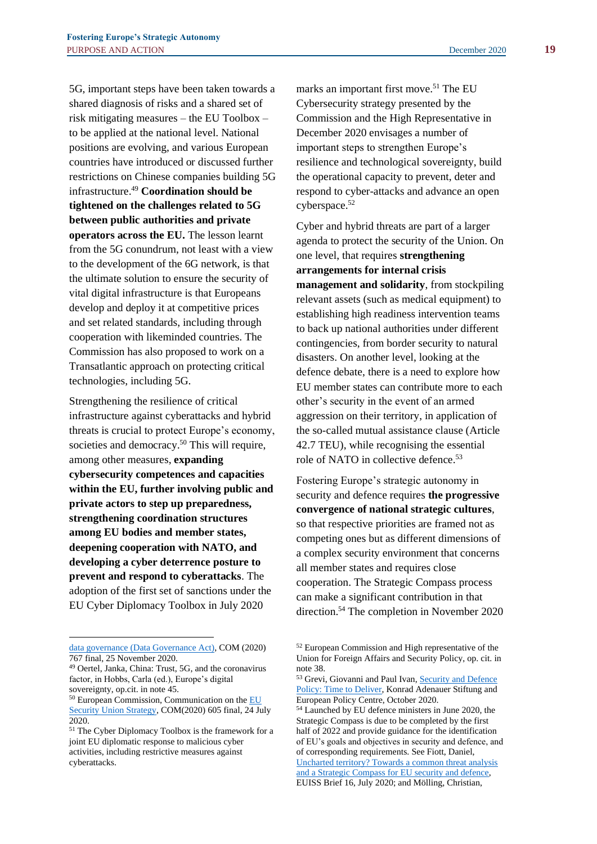5G, important steps have been taken towards a shared diagnosis of risks and a shared set of risk mitigating measures – the EU Toolbox – to be applied at the national level. National positions are evolving, and various European countries have introduced or discussed further restrictions on Chinese companies building 5G infrastructure.<sup>49</sup> **Coordination should be tightened on the challenges related to 5G between public authorities and private operators across the EU.** The lesson learnt from the 5G conundrum, not least with a view to the development of the 6G network, is that the ultimate solution to ensure the security of vital digital infrastructure is that Europeans develop and deploy it at competitive prices and set related standards, including through cooperation with likeminded countries. The Commission has also proposed to work on a Transatlantic approach on protecting critical technologies, including 5G.

Strengthening the resilience of critical infrastructure against cyberattacks and hybrid threats is crucial to protect Europe's economy, societies and democracy.<sup>50</sup> This will require, among other measures, **expanding cybersecurity competences and capacities within the EU, further involving public and private actors to step up preparedness, strengthening coordination structures among EU bodies and member states, deepening cooperation with NATO, and developing a cyber deterrence posture to prevent and respond to cyberattacks**. The adoption of the first set of sanctions under the EU Cyber Diplomacy Toolbox in July 2020

marks an important first move.<sup>51</sup> The EU Cybersecurity strategy presented by the Commission and the High Representative in December 2020 envisages a number of important steps to strengthen Europe's resilience and technological sovereignty, build the operational capacity to prevent, deter and respond to cyber-attacks and advance an open cyberspace.<sup>52</sup>

Cyber and hybrid threats are part of a larger agenda to protect the security of the Union. On one level, that requires **strengthening arrangements for internal crisis management and solidarity**, from stockpiling relevant assets (such as medical equipment) to establishing high readiness intervention teams to back up national authorities under different contingencies, from border security to natural disasters. On another level, looking at the defence debate, there is a need to explore how EU member states can contribute more to each other's security in the event of an armed aggression on their territory, in application of the so-called mutual assistance clause (Article 42.7 TEU), while recognising the essential role of NATO in collective defence.<sup>53</sup>

Fostering Europe's strategic autonomy in security and defence requires **the progressive convergence of national strategic cultures**, so that respective priorities are framed not as competing ones but as different dimensions of a complex security environment that concerns all member states and requires close cooperation. The Strategic Compass process can make a significant contribution in that direction.<sup>54</sup> The completion in November 2020

[data governance \(Data Governance Act\),](https://ec.europa.eu/digital-single-market/en/news/proposal-regulation-european-data-governance-data-governance-act) COM (2020) 767 final, 25 November 2020.

<sup>49</sup> Oertel, Janka, China: Trust, 5G, and the coronavirus factor, in Hobbs, Carla (ed.), Europe's digital sovereignty, op.cit. in note 45.

<sup>&</sup>lt;sup>50</sup> European Commission, Communication on the EU [Security Union Strategy,](https://eur-lex.europa.eu/legal-content/EN/TXT/PDF/?uri=CELEX:52020DC0605&from=EN) COM(2020) 605 final, 24 July 2020.

<sup>51</sup> The Cyber Diplomacy Toolbox is the framework for a joint EU diplomatic response to malicious cyber activities, including restrictive measures against cyberattacks.

<sup>52</sup> European Commission and High representative of the Union for Foreign Affairs and Security Policy, op. cit. in note 38.

<sup>53</sup> Grevi, Giovanni and Paul Ivan, Security and Defence [Policy: Time to Deliver,](https://www.epc.eu/en/publications/Security-and-defence-policy-Time-do-deliver~384a28) Konrad Adenauer Stiftung and European Policy Centre, October 2020.

<sup>54</sup> Launched by EU defence ministers in June 2020, the Strategic Compass is due to be completed by the first half of 2022 and provide guidance for the identification of EU's goals and objectives in security and defence, and of corresponding requirements. See Fiott, Daniel, [Uncharted territory? Towards a common threat analysis](https://www.iss.europa.eu/content/uncharted-territory-towards-common-threat-analysis-and-strategic-compass-eu-security-and)  [and a Strategic Compass for EU security and defence,](https://www.iss.europa.eu/content/uncharted-territory-towards-common-threat-analysis-and-strategic-compass-eu-security-and)  EUISS Brief 16, July 2020; and Mölling, Christian,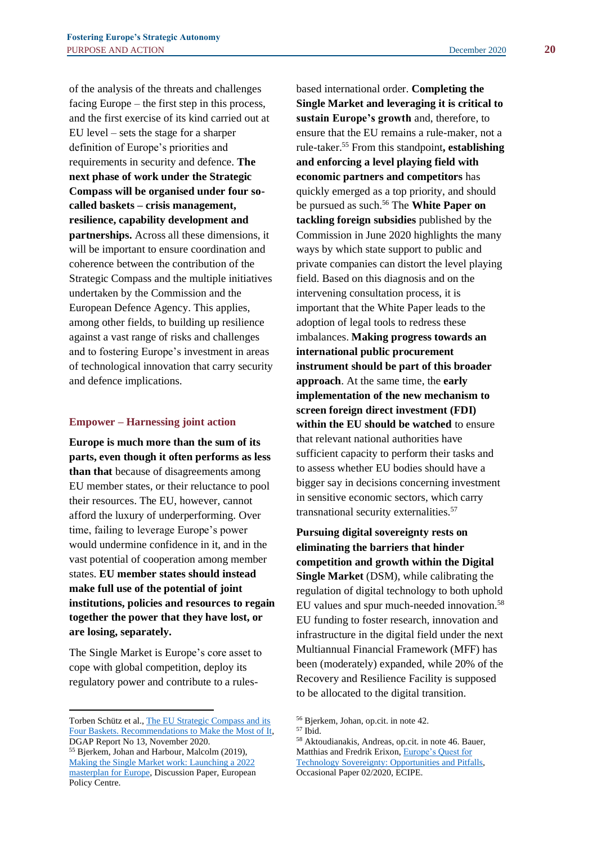of the analysis of the threats and challenges facing Europe – the first step in this process, and the first exercise of its kind carried out at EU level – sets the stage for a sharper definition of Europe's priorities and requirements in security and defence. **The next phase of work under the Strategic Compass will be organised under four socalled baskets – crisis management, resilience, capability development and partnerships.** Across all these dimensions, it will be important to ensure coordination and coherence between the contribution of the Strategic Compass and the multiple initiatives undertaken by the Commission and the European Defence Agency. This applies, among other fields, to building up resilience against a vast range of risks and challenges and to fostering Europe's investment in areas of technological innovation that carry security and defence implications.

#### **Empower – Harnessing joint action**

**Europe is much more than the sum of its parts, even though it often performs as less than that** because of disagreements among EU member states, or their reluctance to pool their resources. The EU, however, cannot afford the luxury of underperforming. Over time, failing to leverage Europe's power would undermine confidence in it, and in the vast potential of cooperation among member states. **EU member states should instead make full use of the potential of joint institutions, policies and resources to regain together the power that they have lost, or are losing, separately.**

The Single Market is Europe's core asset to cope with global competition, deploy its regulatory power and contribute to a rulesbased international order. **Completing the Single Market and leveraging it is critical to sustain Europe's growth** and, therefore, to ensure that the EU remains a rule-maker, not a rule-taker.<sup>55</sup> From this standpoint**, establishing and enforcing a level playing field with economic partners and competitors** has quickly emerged as a top priority, and should be pursued as such.<sup>56</sup> The **White Paper on tackling foreign subsidies** published by the Commission in June 2020 highlights the many ways by which state support to public and private companies can distort the level playing field. Based on this diagnosis and on the intervening consultation process, it is important that the White Paper leads to the adoption of legal tools to redress these imbalances. **Making progress towards an international public procurement instrument should be part of this broader approach**. At the same time, the **early implementation of the new mechanism to screen foreign direct investment (FDI) within the EU should be watched** to ensure that relevant national authorities have sufficient capacity to perform their tasks and to assess whether EU bodies should have a bigger say in decisions concerning investment in sensitive economic sectors, which carry transnational security externalities.<sup>57</sup>

**Pursuing digital sovereignty rests on eliminating the barriers that hinder competition and growth within the Digital Single Market** (DSM), while calibrating the regulation of digital technology to both uphold EU values and spur much-needed innovation.<sup>58</sup> EU funding to foster research, innovation and infrastructure in the digital field under the next Multiannual Financial Framework (MFF) has been (moderately) expanded, while 20% of the Recovery and Resilience Facility is supposed to be allocated to the digital transition.

Torben Schütz et al., [The EU Strategic Compass and its](https://dgap.org/en/research/publications/eus-strategic-compass-and-its-four-baskets)  [Four Baskets. Recommendations to Make the Most of It,](https://dgap.org/en/research/publications/eus-strategic-compass-and-its-four-baskets) DGAP Report No 13, November 2020.

<sup>55</sup> Bjerkem, Johan and Harbour, Malcolm (2019), [Making the Single Market work: Launching a 2022](https://www.epc.eu/en/Publications/Making-the-Single-Market-work~26df2c)  [masterplan for Europe,](https://www.epc.eu/en/Publications/Making-the-Single-Market-work~26df2c) Discussion Paper, European Policy Centre.

<sup>56</sup> Bjerkem, Johan, op.cit. in note 42.

<sup>57</sup> Ibid.

<sup>58</sup> Aktoudianakis, Andreas, op.cit. in note 46. Bauer, Matthias and Fredrik Erixon[, Europe's Quest for](https://ecipe.org/publications/europes-technology-sovereignty/)  [Technology Sovereignty: Opportunities and Pitfalls,](https://ecipe.org/publications/europes-technology-sovereignty/)  Occasional Paper 02/2020, ECIPE.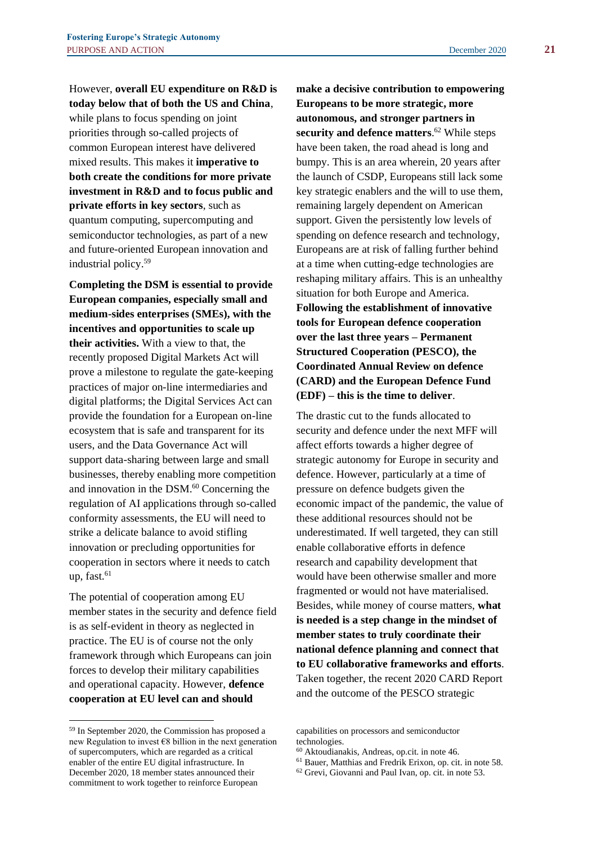However, **overall EU expenditure on R&D is today below that of both the US and China**, while plans to focus spending on joint priorities through so-called projects of common European interest have delivered mixed results. This makes it **imperative to both create the conditions for more private investment in R&D and to focus public and private efforts in key sectors**, such as quantum computing, supercomputing and semiconductor technologies, as part of a new and future-oriented European innovation and industrial policy.<sup>59</sup>

**Completing the DSM is essential to provide European companies, especially small and medium-sides enterprises (SMEs), with the incentives and opportunities to scale up their activities.** With a view to that, the recently proposed Digital Markets Act will prove a milestone to regulate the gate-keeping practices of major on-line intermediaries and digital platforms; the Digital Services Act can provide the foundation for a European on-line ecosystem that is safe and transparent for its users, and the Data Governance Act will support data-sharing between large and small businesses, thereby enabling more competition and innovation in the DSM.<sup>60</sup> Concerning the regulation of AI applications through so-called conformity assessments, the EU will need to strike a delicate balance to avoid stifling innovation or precluding opportunities for cooperation in sectors where it needs to catch up, fast. $61$ 

The potential of cooperation among EU member states in the security and defence field is as self-evident in theory as neglected in practice. The EU is of course not the only framework through which Europeans can join forces to develop their military capabilities and operational capacity. However, **defence cooperation at EU level can and should** 

**make a decisive contribution to empowering Europeans to be more strategic, more autonomous, and stronger partners in security and defence matters**. <sup>62</sup> While steps have been taken, the road ahead is long and bumpy. This is an area wherein, 20 years after the launch of CSDP, Europeans still lack some key strategic enablers and the will to use them, remaining largely dependent on American support. Given the persistently low levels of spending on defence research and technology, Europeans are at risk of falling further behind at a time when cutting-edge technologies are reshaping military affairs. This is an unhealthy situation for both Europe and America. **Following the establishment of innovative tools for European defence cooperation over the last three years – Permanent Structured Cooperation (PESCO), the Coordinated Annual Review on defence (CARD) and the European Defence Fund (EDF) – this is the time to deliver**.

The drastic cut to the funds allocated to security and defence under the next MFF will affect efforts towards a higher degree of strategic autonomy for Europe in security and defence. However, particularly at a time of pressure on defence budgets given the economic impact of the pandemic, the value of these additional resources should not be underestimated. If well targeted, they can still enable collaborative efforts in defence research and capability development that would have been otherwise smaller and more fragmented or would not have materialised. Besides, while money of course matters, **what is needed is a step change in the mindset of member states to truly coordinate their national defence planning and connect that to EU collaborative frameworks and efforts**. Taken together, the recent 2020 CARD Report and the outcome of the PESCO strategic

<sup>59</sup> In September 2020, the Commission has proposed a new Regulation to invest €8 billion in the next generation of supercomputers, which are regarded as a critical enabler of the entire EU digital infrastructure. In December 2020, 18 member states announced their commitment to work together to reinforce European

capabilities on processors and semiconductor technologies.

<sup>60</sup> Aktoudianakis, Andreas, op.cit. in note 46.

<sup>61</sup> Bauer, Matthias and Fredrik Erixon, op. cit. in note 58.

<sup>62</sup> Grevi, Giovanni and Paul Ivan, op. cit. in note 53.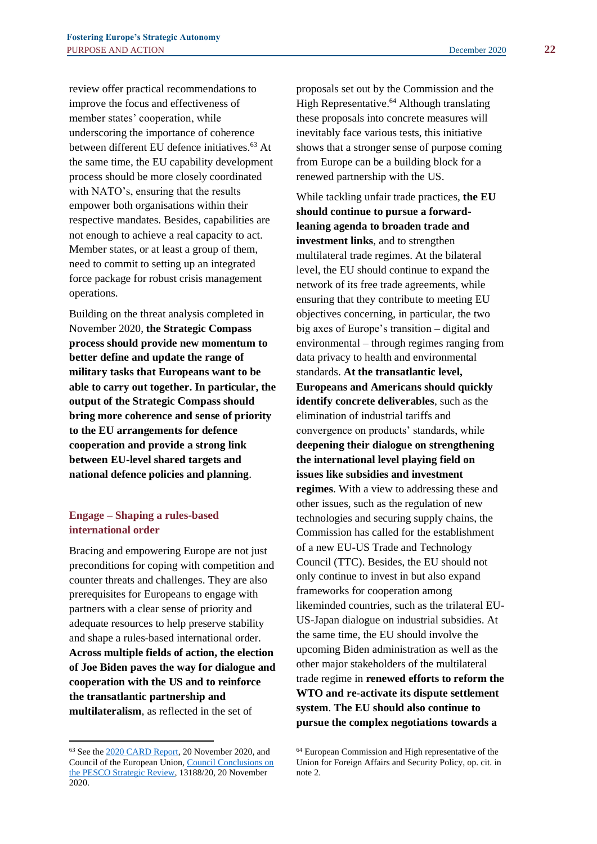review offer practical recommendations to improve the focus and effectiveness of member states' cooperation, while underscoring the importance of coherence between different EU defence initiatives.<sup>63</sup> At the same time, the EU capability development process should be more closely coordinated with NATO's, ensuring that the results empower both organisations within their respective mandates. Besides, capabilities are not enough to achieve a real capacity to act. Member states, or at least a group of them, need to commit to setting up an integrated force package for robust crisis management operations.

Building on the threat analysis completed in November 2020, **the Strategic Compass process should provide new momentum to better define and update the range of military tasks that Europeans want to be able to carry out together. In particular, the output of the Strategic Compass should bring more coherence and sense of priority to the EU arrangements for defence cooperation and provide a strong link between EU-level shared targets and national defence policies and planning**.

## **Engage – Shaping a rules-based international order**

Bracing and empowering Europe are not just preconditions for coping with competition and counter threats and challenges. They are also prerequisites for Europeans to engage with partners with a clear sense of priority and adequate resources to help preserve stability and shape a rules-based international order. **Across multiple fields of action, the election of Joe Biden paves the way for dialogue and cooperation with the US and to reinforce the transatlantic partnership and multilateralism**, as reflected in the set of

proposals set out by the Commission and the High Representative.<sup>64</sup> Although translating these proposals into concrete measures will inevitably face various tests, this initiative shows that a stronger sense of purpose coming from Europe can be a building block for a renewed partnership with the US.

While tackling unfair trade practices, **the EU should continue to pursue a forwardleaning agenda to broaden trade and investment links**, and to strengthen multilateral trade regimes. At the bilateral level, the EU should continue to expand the network of its free trade agreements, while ensuring that they contribute to meeting EU objectives concerning, in particular, the two big axes of Europe's transition – digital and environmental – through regimes ranging from data privacy to health and environmental standards. **At the transatlantic level, Europeans and Americans should quickly identify concrete deliverables**, such as the elimination of industrial tariffs and convergence on products' standards, while **deepening their dialogue on strengthening the international level playing field on issues like subsidies and investment regimes**. With a view to addressing these and other issues, such as the regulation of new technologies and securing supply chains, the Commission has called for the establishment of a new EU-US Trade and Technology Council (TTC). Besides, the EU should not only continue to invest in but also expand frameworks for cooperation among likeminded countries, such as the trilateral EU-US-Japan dialogue on industrial subsidies. At the same time, the EU should involve the upcoming Biden administration as well as the other major stakeholders of the multilateral trade regime in **renewed efforts to reform the WTO and re-activate its dispute settlement system**. **The EU should also continue to pursue the complex negotiations towards a** 

<sup>63</sup> See th[e 2020 CARD Report,](https://www.eda.europa.eu/docs/default-source/reports/card-2020-executive-summary-report.pdf) 20 November 2020, and Council of the European Union[, Council Conclusions on](https://data.consilium.europa.eu/doc/document/ST-13188-2020-INIT/en/pdf)  [the PESCO Strategic Review,](https://data.consilium.europa.eu/doc/document/ST-13188-2020-INIT/en/pdf) 13188/20, 20 November 2020.

<sup>64</sup> European Commission and High representative of the Union for Foreign Affairs and Security Policy, op. cit. in note 2.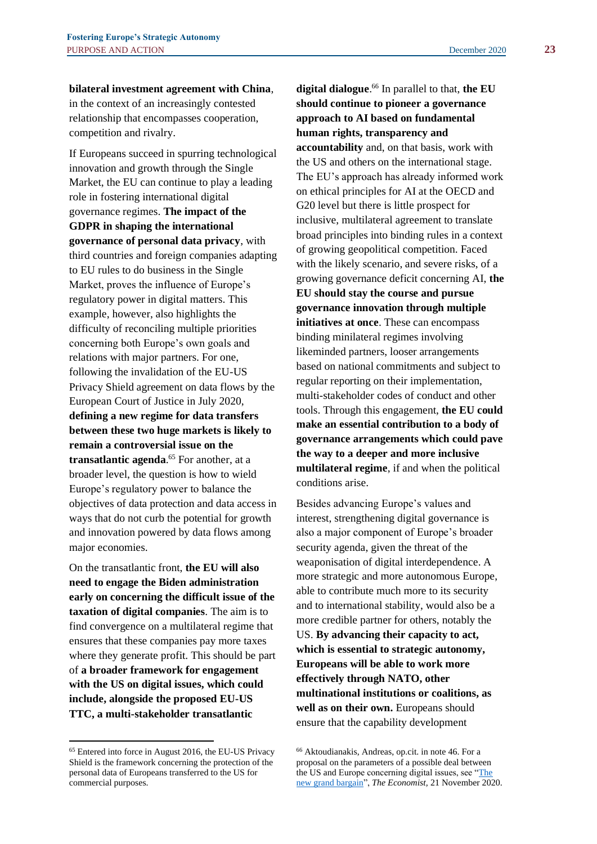**bilateral investment agreement with China**, in the context of an increasingly contested relationship that encompasses cooperation, competition and rivalry.

If Europeans succeed in spurring technological innovation and growth through the Single Market, the EU can continue to play a leading role in fostering international digital governance regimes. **The impact of the GDPR in shaping the international governance of personal data privacy**, with third countries and foreign companies adapting to EU rules to do business in the Single Market, proves the influence of Europe's regulatory power in digital matters. This example, however, also highlights the difficulty of reconciling multiple priorities concerning both Europe's own goals and relations with major partners. For one, following the invalidation of the EU-US Privacy Shield agreement on data flows by the European Court of Justice in July 2020, **defining a new regime for data transfers between these two huge markets is likely to remain a controversial issue on the transatlantic agenda**. <sup>65</sup> For another, at a broader level, the question is how to wield Europe's regulatory power to balance the objectives of data protection and data access in ways that do not curb the potential for growth and innovation powered by data flows among major economies.

On the transatlantic front, **the EU will also need to engage the Biden administration early on concerning the difficult issue of the taxation of digital companies**. The aim is to find convergence on a multilateral regime that ensures that these companies pay more taxes where they generate profit. This should be part of **a broader framework for engagement with the US on digital issues, which could include, alongside the proposed EU-US TTC, a multi-stakeholder transatlantic** 

# **digital dialogue**. <sup>66</sup> In parallel to that, **the EU should continue to pioneer a governance approach to AI based on fundamental human rights, transparency and**

**accountability** and, on that basis, work with the US and others on the international stage. The EU's approach has already informed work on ethical principles for AI at the OECD and G20 level but there is little prospect for inclusive, multilateral agreement to translate broad principles into binding rules in a context of growing geopolitical competition. Faced with the likely scenario, and severe risks, of a growing governance deficit concerning AI, **the EU should stay the course and pursue governance innovation through multiple initiatives at once**. These can encompass binding minilateral regimes involving likeminded partners, looser arrangements based on national commitments and subject to regular reporting on their implementation, multi-stakeholder codes of conduct and other tools. Through this engagement, **the EU could make an essential contribution to a body of governance arrangements which could pave the way to a deeper and more inclusive multilateral regime**, if and when the political conditions arise.

Besides advancing Europe's values and interest, strengthening digital governance is also a major component of Europe's broader security agenda, given the threat of the weaponisation of digital interdependence. A more strategic and more autonomous Europe, able to contribute much more to its security and to international stability, would also be a more credible partner for others, notably the US. **By advancing their capacity to act, which is essential to strategic autonomy, Europeans will be able to work more effectively through NATO, other multinational institutions or coalitions, as well as on their own.** Europeans should ensure that the capability development

<sup>65</sup> Entered into force in August 2016, the EU-US Privacy Shield is the framework concerning the protection of the personal data of Europeans transferred to the US for commercial purposes.

<sup>66</sup> Aktoudianakis, Andreas, op.cit. in note 46. For a proposal on the parameters of a possible deal between the US and Europe concerning digital issues, see "The [new grand bargain"](https://www.economist.com/briefing/2020/11/19/democracies-must-team-up-to-take-on-china-in-the-technosphere), *The Economist,* 21 November 2020.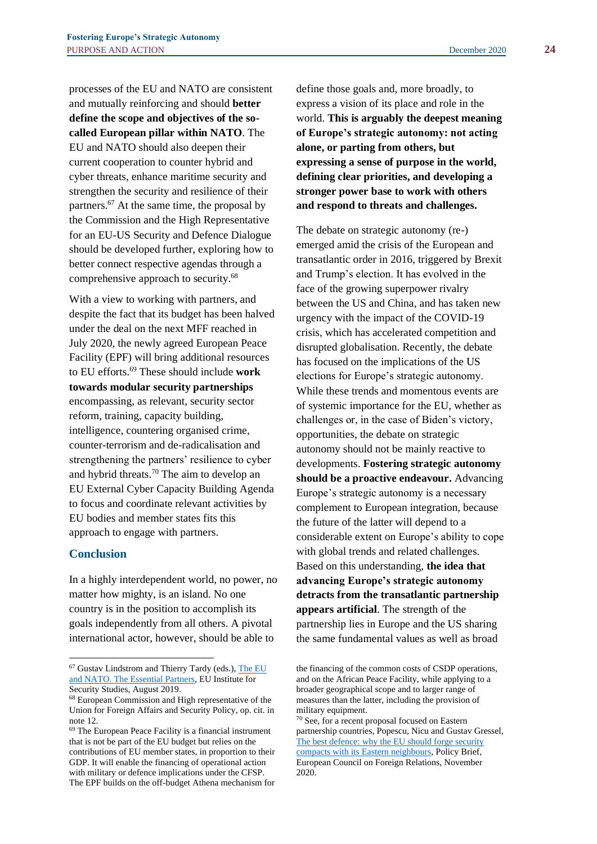processes of the EU and NATO are consistent and mutually reinforcing and should **better define the scope and objectives of the socalled European pillar within NATO**. The EU and NATO should also deepen their current cooperation to counter hybrid and cyber threats, enhance maritime security and strengthen the security and resilience of their partners.<sup>67</sup> At the same time, the proposal by the Commission and the High Representative for an EU-US Security and Defence Dialogue should be developed further, exploring how to better connect respective agendas through a comprehensive approach to security.<sup>68</sup>

With a view to working with partners, and despite the fact that its budget has been halved under the deal on the next MFF reached in July 2020, the newly agreed European Peace Facility (EPF) will bring additional resources to EU efforts.<sup>69</sup> These should include **work towards modular security partnerships** encompassing, as relevant, security sector reform, training, capacity building, intelligence, countering organised crime, counter-terrorism and de-radicalisation and strengthening the partners' resilience to cyber and hybrid threats.<sup>70</sup> The aim to develop an EU External Cyber Capacity Building Agenda to focus and coordinate relevant activities by EU bodies and member states fits this approach to engage with partners.

#### **Conclusion**

In a highly interdependent world, no power, no matter how mighty, is an island. No one country is in the position to accomplish its goals independently from all others. A pivotal international actor, however, should be able to

define those goals and, more broadly, to express a vision of its place and role in the world. **This is arguably the deepest meaning of Europe's strategic autonomy: not acting alone, or parting from others, but expressing a sense of purpose in the world, defining clear priorities, and developing a stronger power base to work with others and respond to threats and challenges.**

The debate on strategic autonomy (re-) emerged amid the crisis of the European and transatlantic order in 2016, triggered by Brexit and Trump's election. It has evolved in the face of the growing superpower rivalry between the US and China, and has taken new urgency with the impact of the COVID-19 crisis, which has accelerated competition and disrupted globalisation. Recently, the debate has focused on the implications of the US elections for Europe's strategic autonomy. While these trends and momentous events are of systemic importance for the EU, whether as challenges or, in the case of Biden's victory, opportunities, the debate on strategic autonomy should not be mainly reactive to developments. **Fostering strategic autonomy should be a proactive endeavour.** Advancing Europe's strategic autonomy is a necessary complement to European integration, because the future of the latter will depend to a considerable extent on Europe's ability to cope with global trends and related challenges. Based on this understanding, **the idea that advancing Europe's strategic autonomy detracts from the transatlantic partnership appears artificial**. The strength of the partnership lies in Europe and the US sharing the same fundamental values as well as broad

<sup>&</sup>lt;sup>67</sup> Gustav Lindstrom and Thierry Tardy (eds.), The EU [and NATO. The Essential Partners,](https://www.iss.europa.eu/content/eu-and-nato) EU Institute for Security Studies, August 2019.

<sup>68</sup> European Commission and High representative of the Union for Foreign Affairs and Security Policy, op. cit. in note 12.

<sup>69</sup> The European Peace Facility is a financial instrument that is not be part of the EU budget but relies on the contributions of EU member states, in proportion to their GDP. It will enable the financing of operational action with military or defence implications under the CFSP. The EPF builds on the off-budget Athena mechanism for

the financing of the common costs of CSDP operations, and on the African Peace Facility, while applying to a broader geographical scope and to larger range of measures than the latter, including the provision of military equipment.

<sup>70</sup> See, for a recent proposal focused on Eastern partnership countries, Popescu, Nicu and Gustav Gressel, [The best defence: why the EU should forge security](https://ecfr.eu/publication/the-best-defence-why-the-eu-should-forge-security-compacts-with-its-eastern-neighbours/)  [compacts with its Eastern neighbours,](https://ecfr.eu/publication/the-best-defence-why-the-eu-should-forge-security-compacts-with-its-eastern-neighbours/) Policy Brief, European Council on Foreign Relations, November 2020.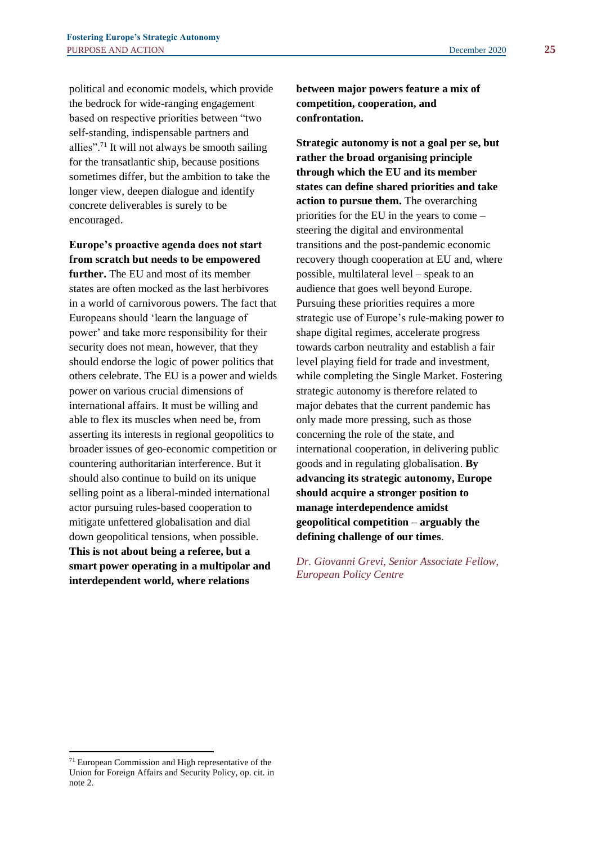political and economic models, which provide the bedrock for wide-ranging engagement based on respective priorities between "two self-standing, indispensable partners and allies".<sup>71</sup> It will not always be smooth sailing for the transatlantic ship, because positions sometimes differ, but the ambition to take the longer view, deepen dialogue and identify concrete deliverables is surely to be encouraged.

**Europe's proactive agenda does not start from scratch but needs to be empowered further.** The EU and most of its member

states are often mocked as the last herbivores in a world of carnivorous powers. The fact that Europeans should 'learn the language of power' and take more responsibility for their security does not mean, however, that they should endorse the logic of power politics that others celebrate. The EU is a power and wields power on various crucial dimensions of international affairs. It must be willing and able to flex its muscles when need be, from asserting its interests in regional geopolitics to broader issues of geo-economic competition or countering authoritarian interference. But it should also continue to build on its unique selling point as a liberal-minded international actor pursuing rules-based cooperation to mitigate unfettered globalisation and dial down geopolitical tensions, when possible. **This is not about being a referee, but a smart power operating in a multipolar and interdependent world, where relations** 

**between major powers feature a mix of competition, cooperation, and confrontation.**

**Strategic autonomy is not a goal per se, but rather the broad organising principle through which the EU and its member states can define shared priorities and take action to pursue them.** The overarching priorities for the EU in the years to come – steering the digital and environmental transitions and the post-pandemic economic recovery though cooperation at EU and, where possible, multilateral level – speak to an audience that goes well beyond Europe. Pursuing these priorities requires a more strategic use of Europe's rule-making power to shape digital regimes, accelerate progress towards carbon neutrality and establish a fair level playing field for trade and investment, while completing the Single Market. Fostering strategic autonomy is therefore related to major debates that the current pandemic has only made more pressing, such as those concerning the role of the state, and international cooperation, in delivering public goods and in regulating globalisation. **By advancing its strategic autonomy, Europe should acquire a stronger position to manage interdependence amidst geopolitical competition – arguably the defining challenge of our times**.

*Dr. Giovanni Grevi, Senior Associate Fellow, European Policy Centre*

<sup>71</sup> European Commission and High representative of the Union for Foreign Affairs and Security Policy, op. cit. in note 2.